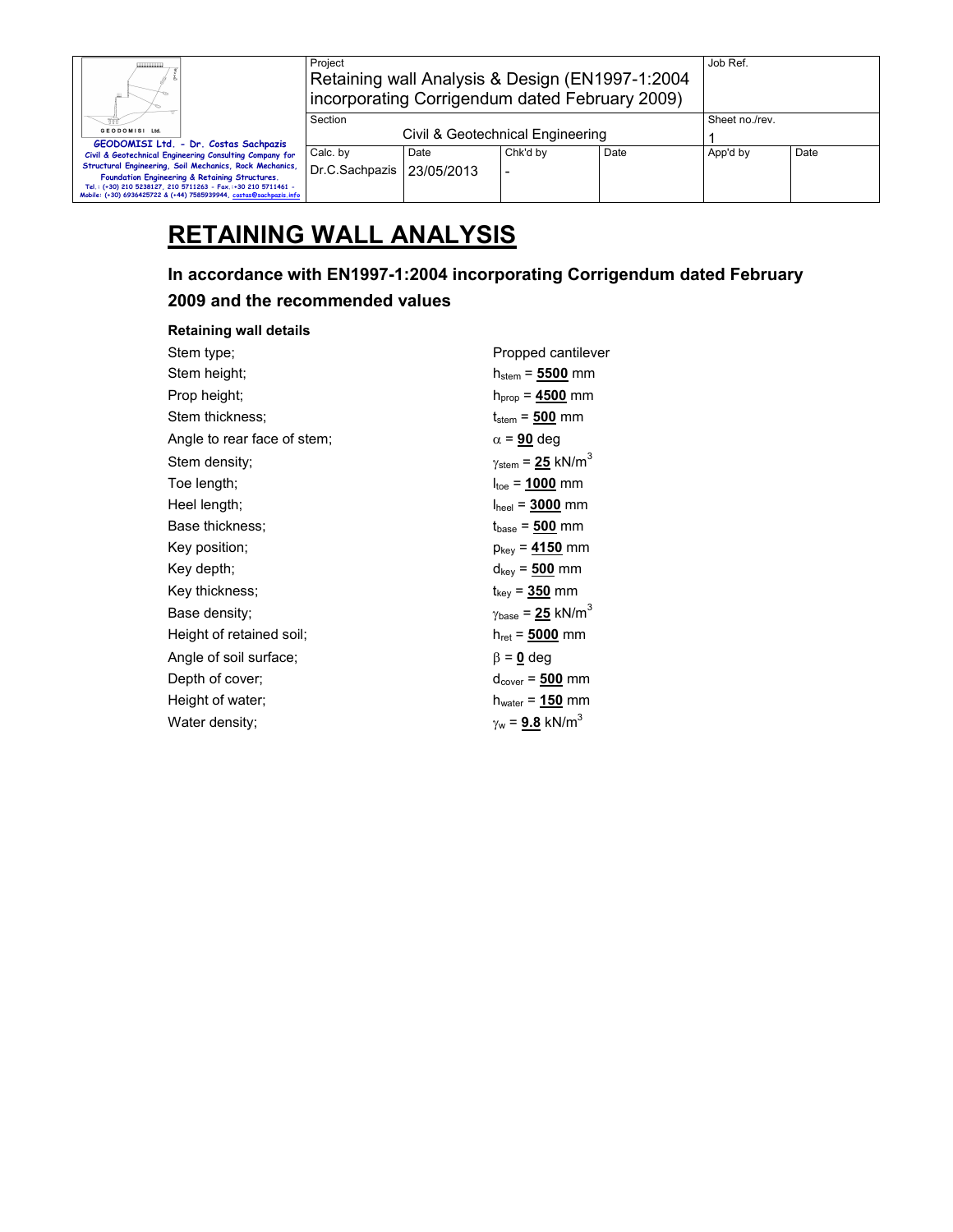| Ш.                                                                                                                                  | Project<br>Retaining wall Analysis & Design (EN1997-1:2004)<br>incorporating Corrigendum dated February 2009) |                                  | Job Ref. |      |                |      |
|-------------------------------------------------------------------------------------------------------------------------------------|---------------------------------------------------------------------------------------------------------------|----------------------------------|----------|------|----------------|------|
|                                                                                                                                     | Section                                                                                                       |                                  |          |      | Sheet no./rev. |      |
| GEODOMISI Ltd.<br>GEODOMISI Ltd. - Dr. Costas Sachpazis                                                                             |                                                                                                               | Civil & Geotechnical Engineering |          |      |                |      |
| Civil & Geotechnical Engineering Consulting Company for                                                                             | Calc. by                                                                                                      | Date                             | Chk'd by | Date | App'd by       | Date |
| Structural Engineering, Soil Mechanics, Rock Mechanics,<br>Foundation Engineering & Retaining Structures.                           | Dr.C.Sachpazis   23/05/2013                                                                                   |                                  |          |      |                |      |
| Tel.: (+30) 210 5238127, 210 5711263 - Fax.:+30 210 5711461 -<br>Mobile: (+30) 6936425722 & (+44) 7585939944, costas@sachpazis.info |                                                                                                               |                                  |          |      |                |      |

# **RETAINING WALL ANALYSIS**

## **In accordance with EN1997-1:2004 incorporating Corrigendum dated February**

### **2009 and the recommended values**

#### **Retaining wall details**

| Stem type;                  | Propped cantilever                            |
|-----------------------------|-----------------------------------------------|
| Stem height;                | $h_{\mathsf{stem}}$ = $\mathsf{5500}$ mm      |
| Prop height;                | $h_{prop} = 4500$ mm                          |
| Stem thickness:             | $t_{stem}$ = $500$ mm                         |
| Angle to rear face of stem; | $\alpha$ = 90 deg                             |
| Stem density;               | $\gamma_{\text{stem}}$ = 25 kN/m <sup>3</sup> |
| Toe length;                 | $I_{\text{toe}} = 1000$ mm                    |
| Heel length;                | $I_{\text{heel}} = 3000 \text{ mm}$           |
| Base thickness:             | $t_{base} = 500$ mm                           |
| Key position;               | $p_{key}$ = $4150$ mm                         |
| Key depth;                  | $d_{key}$ = $\frac{500}{2}$ mm                |
| Key thickness;              | $t_{key} = 350$ mm                            |
| Base density;               | $\gamma_{\text{base}} = 25 \text{ kN/m}^3$    |
| Height of retained soil;    | $h_{\text{ret}} = 5000 \text{ mm}$            |
| Angle of soil surface;      | $\beta = 0$ deg                               |
| Depth of cover:             | $d_{cover} = 500$ mm                          |
| Height of water;            | $h_{\text{water}}$ = $150 \text{ mm}$         |
| Water density;              | $\gamma_{w}$ = 9.8 kN/m <sup>3</sup>          |
|                             |                                               |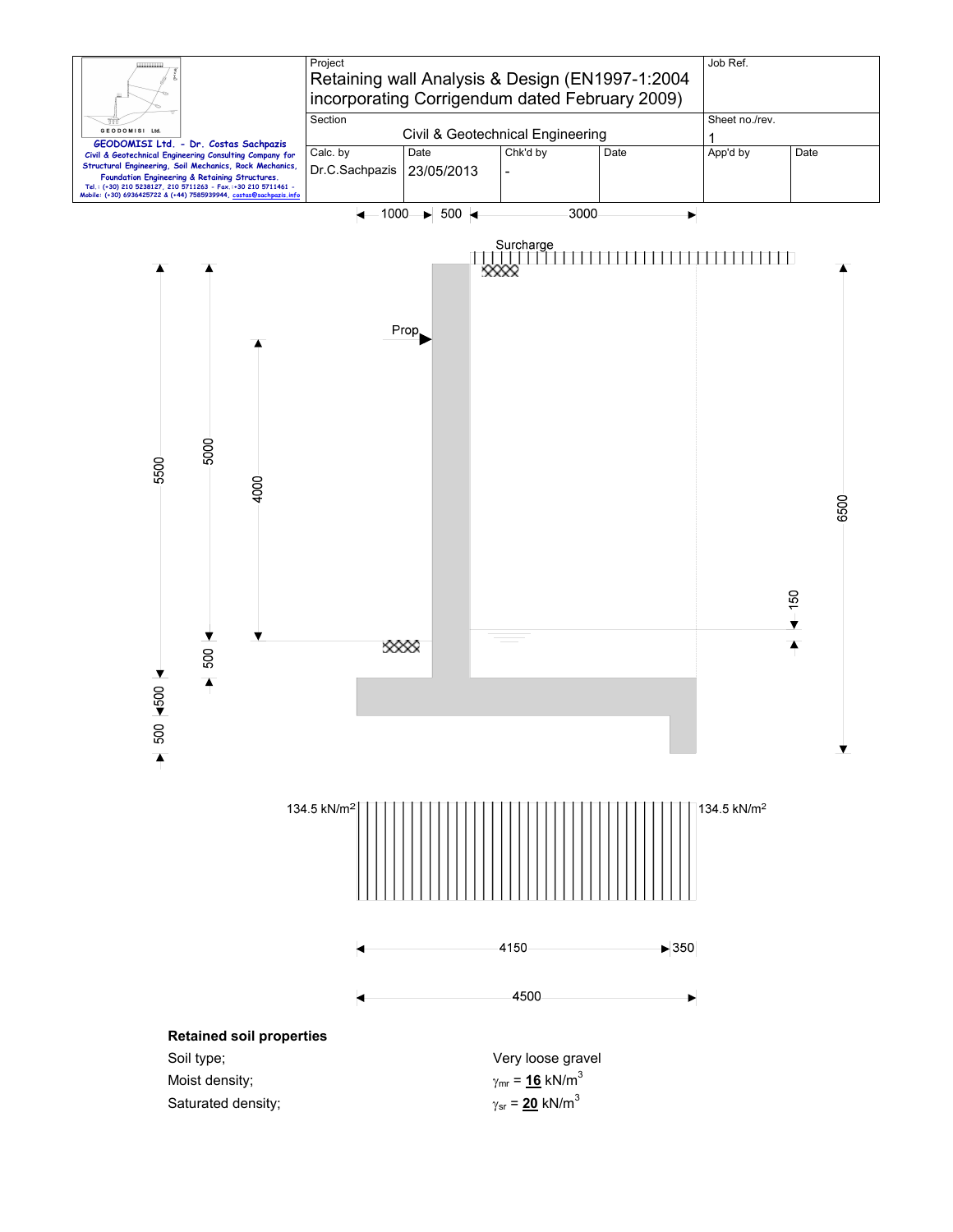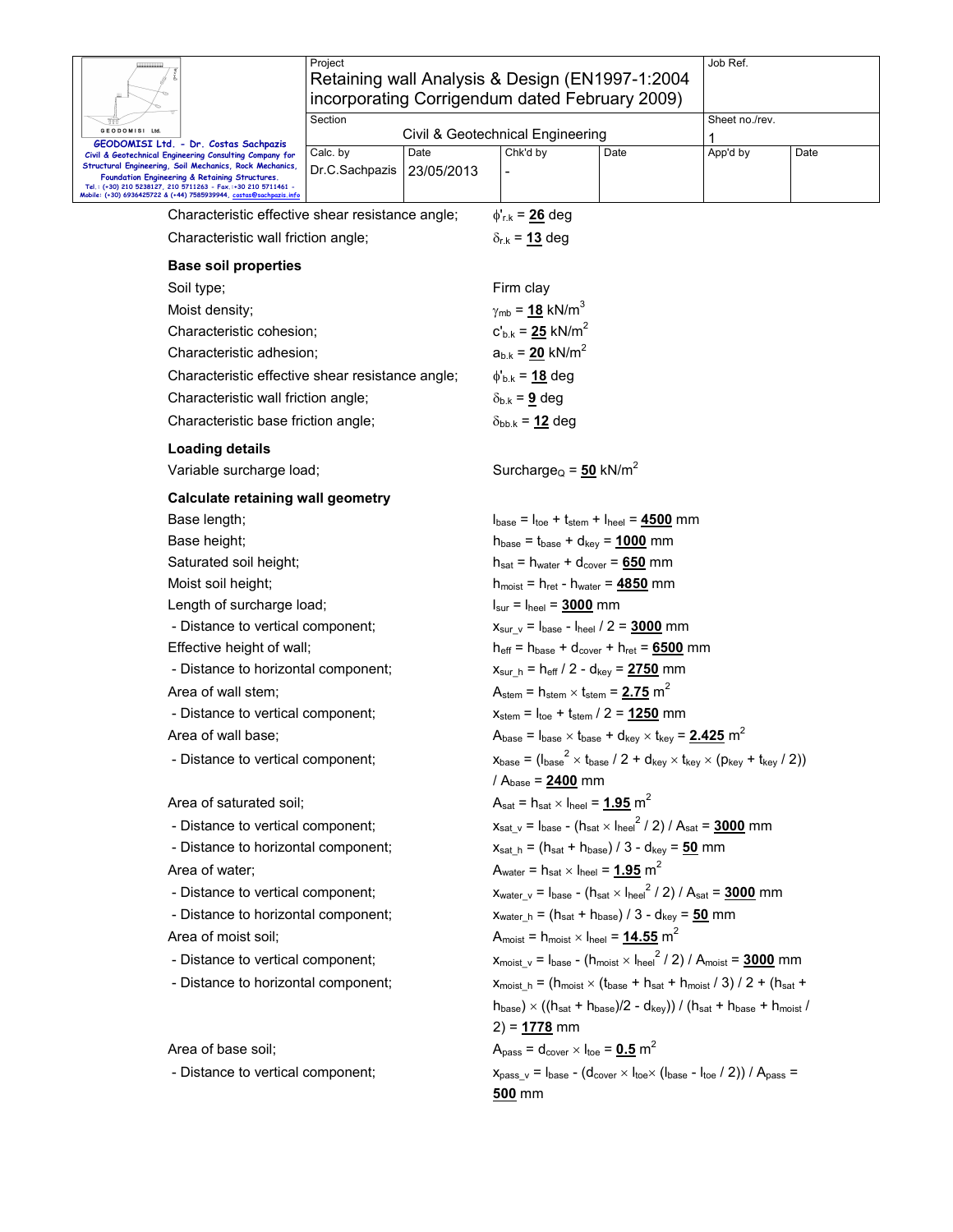|                                                                                                                                                                                                                                                                                                             | Project                                          | Retaining wall Analysis & Design (EN1997-1:2004)<br>incorporating Corrigendum dated February 2009)                                                                         | Job Ref.       |  |  |  |
|-------------------------------------------------------------------------------------------------------------------------------------------------------------------------------------------------------------------------------------------------------------------------------------------------------------|--------------------------------------------------|----------------------------------------------------------------------------------------------------------------------------------------------------------------------------|----------------|--|--|--|
| GEODOMISI Ltd.                                                                                                                                                                                                                                                                                              | Section                                          |                                                                                                                                                                            | Sheet no./rev. |  |  |  |
| GEODOMISI Ltd. - Dr. Costas Sachpazis                                                                                                                                                                                                                                                                       |                                                  | Civil & Geotechnical Engineering                                                                                                                                           | App'd by       |  |  |  |
| Civil & Geotechnical Engineering Consulting Company for<br>Structural Engineering, Soil Mechanics, Rock Mechanics,<br>Foundation Engineering & Retaining Structures.<br>Tel.: (+30) 210 5238127, 210 5711263 - Fax.:+30 210 5711461 -<br>Mobile: (+30) 6936425722 & (+44) 7585939944, costas@sachpazis.info | Calc. by<br>Date<br>23/05/2013<br>Dr.C.Sachpazis | Chk'd by<br>Date                                                                                                                                                           | Date           |  |  |  |
|                                                                                                                                                                                                                                                                                                             | Characteristic effective shear resistance angle; | $\phi'_{r.k}$ = 26 deg                                                                                                                                                     |                |  |  |  |
| Characteristic wall friction angle;                                                                                                                                                                                                                                                                         |                                                  | $\delta_{r,k}$ = 13 deg                                                                                                                                                    |                |  |  |  |
| <b>Base soil properties</b>                                                                                                                                                                                                                                                                                 |                                                  |                                                                                                                                                                            |                |  |  |  |
| Soil type;                                                                                                                                                                                                                                                                                                  |                                                  | Firm clay                                                                                                                                                                  |                |  |  |  |
| Moist density;                                                                                                                                                                                                                                                                                              |                                                  | $\gamma_{\rm mb}$ = <u>18</u> kN/m <sup>3</sup>                                                                                                                            |                |  |  |  |
| Characteristic cohesion;                                                                                                                                                                                                                                                                                    |                                                  | $c'_{b.k} = 25$ kN/m <sup>2</sup>                                                                                                                                          |                |  |  |  |
| Characteristic adhesion;                                                                                                                                                                                                                                                                                    |                                                  | $a_{b.k} = 20$ kN/m <sup>2</sup>                                                                                                                                           |                |  |  |  |
|                                                                                                                                                                                                                                                                                                             | Characteristic effective shear resistance angle; | $\phi_{b.k} = 18$ deg                                                                                                                                                      |                |  |  |  |
| Characteristic wall friction angle;                                                                                                                                                                                                                                                                         |                                                  | $\delta_{b,k}$ = 9 deg                                                                                                                                                     |                |  |  |  |
| Characteristic base friction angle;                                                                                                                                                                                                                                                                         |                                                  | $\delta_{bb,k}$ = 12 deg                                                                                                                                                   |                |  |  |  |
| <b>Loading details</b>                                                                                                                                                                                                                                                                                      |                                                  |                                                                                                                                                                            |                |  |  |  |
| Variable surcharge load;                                                                                                                                                                                                                                                                                    |                                                  | Surcharge <sub>Q</sub> = $50$ kN/m <sup>2</sup>                                                                                                                            |                |  |  |  |
| Calculate retaining wall geometry                                                                                                                                                                                                                                                                           |                                                  |                                                                                                                                                                            |                |  |  |  |
| Base length;                                                                                                                                                                                                                                                                                                |                                                  | $I_{base} = I_{toe} + I_{stem} + I_{heel} = 4500$ mm                                                                                                                       |                |  |  |  |
| Base height;                                                                                                                                                                                                                                                                                                |                                                  | $h_{base} = t_{base} + d_{key} = 1000$ mm                                                                                                                                  |                |  |  |  |
| Saturated soil height;                                                                                                                                                                                                                                                                                      |                                                  | $h_{\text{sat}} = h_{\text{water}} + d_{\text{cover}} = 650$ mm                                                                                                            |                |  |  |  |
| Moist soil height;                                                                                                                                                                                                                                                                                          |                                                  | $h_{\text{moist}} = h_{\text{ret}} - h_{\text{water}} = 4850$ mm                                                                                                           |                |  |  |  |
| Length of surcharge load;                                                                                                                                                                                                                                                                                   |                                                  | $I_{\text{sur}} = I_{\text{heel}} = 3000 \text{ mm}$                                                                                                                       |                |  |  |  |
| - Distance to vertical component;                                                                                                                                                                                                                                                                           |                                                  | $x_{\text{sur v}} = I_{\text{base}} - I_{\text{heel}} / 2 = 3000$ mm                                                                                                       |                |  |  |  |
| Effective height of wall;                                                                                                                                                                                                                                                                                   |                                                  | $h_{\text{eff}} = h_{\text{base}} + d_{\text{cover}} + h_{\text{ret}} = 6500$ mm                                                                                           |                |  |  |  |
| - Distance to horizontal component;                                                                                                                                                                                                                                                                         |                                                  | $x_{\text{sur h}} = h_{\text{eff}} / 2 - d_{\text{key}} = 2750$ mm                                                                                                         |                |  |  |  |
| Area of wall stem;                                                                                                                                                                                                                                                                                          |                                                  | $A_{\text{stem}} = h_{\text{stem}} \times t_{\text{stem}} = 2.75$ m <sup>2</sup>                                                                                           |                |  |  |  |
| - Distance to vertical component;                                                                                                                                                                                                                                                                           |                                                  | $x_{\text{stem}} = I_{\text{toe}} + I_{\text{stem}} / 2 = 1250$ mm                                                                                                         |                |  |  |  |
| Area of wall base:                                                                                                                                                                                                                                                                                          |                                                  | $A_{base} = I_{base} \times I_{base} + d_{key} \times I_{key} = 2.425 \text{ m}^2$                                                                                         |                |  |  |  |
| - Distance to vertical component;                                                                                                                                                                                                                                                                           |                                                  | $x_{\text{base}} = (\text{base}^2 \times \text{base} / 2 + \text{d}_{\text{key}} \times \text{t}_{\text{key}} \times (\text{p}_{\text{key}} + \text{t}_{\text{key}} / 2))$ |                |  |  |  |
|                                                                                                                                                                                                                                                                                                             |                                                  | / $A_{base} = 2400$ mm                                                                                                                                                     |                |  |  |  |
| Area of saturated soil;                                                                                                                                                                                                                                                                                     |                                                  | $A_{sat}$ = $h_{sat} \times I_{heel}$ = 1.95 m <sup>2</sup>                                                                                                                |                |  |  |  |
| - Distance to vertical component;                                                                                                                                                                                                                                                                           |                                                  | $x_{\text{sat v}} = I_{\text{base}} - (h_{\text{sat x}} I_{\text{heel}}^2 / 2) / A_{\text{sat}} = 3000$ mm                                                                 |                |  |  |  |
| - Distance to horizontal component;                                                                                                                                                                                                                                                                         |                                                  | $x_{\text{sat\_h}} = (h_{\text{sat}} + h_{\text{base}}) / 3 - d_{\text{key}} = 50$ mm                                                                                      |                |  |  |  |
| Area of water;                                                                                                                                                                                                                                                                                              |                                                  | $A_{\text{water}} = h_{\text{sat}} \times I_{\text{heel}} = 1.95 \text{ m}^2$                                                                                              |                |  |  |  |
| - Distance to vertical component;                                                                                                                                                                                                                                                                           |                                                  | $x_{water v} = I_{base} - (h_{sat} \times I_{heel}^2 / 2) / A_{sat} = 3000$ mm                                                                                             |                |  |  |  |
| - Distance to horizontal component;                                                                                                                                                                                                                                                                         |                                                  | $x_{water_h} = (h_{sat} + h_{base}) / 3 - d_{key} = 50$ mm                                                                                                                 |                |  |  |  |
| Area of moist soil;                                                                                                                                                                                                                                                                                         |                                                  | $A_{\text{moist}} = h_{\text{moist}} \times I_{\text{heel}} = 14.55 \text{ m}^2$                                                                                           |                |  |  |  |
| - Distance to vertical component;                                                                                                                                                                                                                                                                           |                                                  | $x_{\text{moist\_v}} = I_{\text{base}} - (h_{\text{moist}} \times I_{\text{heel}}^2 / 2) / A_{\text{moist}} = 3000$ mm                                                     |                |  |  |  |
| - Distance to horizontal component;                                                                                                                                                                                                                                                                         |                                                  | $x_{\text{moist h}} = (h_{\text{moist}} \times (t_{\text{base}} + h_{\text{sat}} + h_{\text{moist}} / 3) / 2 + (h_{\text{sat}} + h_{\text{coist}} / 3)$                    |                |  |  |  |
|                                                                                                                                                                                                                                                                                                             |                                                  | $h_{base}$ ) × (( $h_{sat}$ + $h_{base}$ )/2 - $d_{key}$ )) / ( $h_{sat}$ + $h_{base}$ + $h_{moist}$ /<br>$2) = 1778$ mm                                                   |                |  |  |  |
| Area of base soil;                                                                                                                                                                                                                                                                                          |                                                  | $Apass = dcover × Itoe = 0.5 m2$                                                                                                                                           |                |  |  |  |
| - Distance to vertical component;                                                                                                                                                                                                                                                                           |                                                  | $x_{pass v} = I_{base} - (d_{cover} \times I_{toe} \times (I_{base} - I_{toe} / 2)) / A_{pass} =$                                                                          |                |  |  |  |
|                                                                                                                                                                                                                                                                                                             |                                                  | <u>500</u> mm                                                                                                                                                              |                |  |  |  |

 $\mathsf{I}$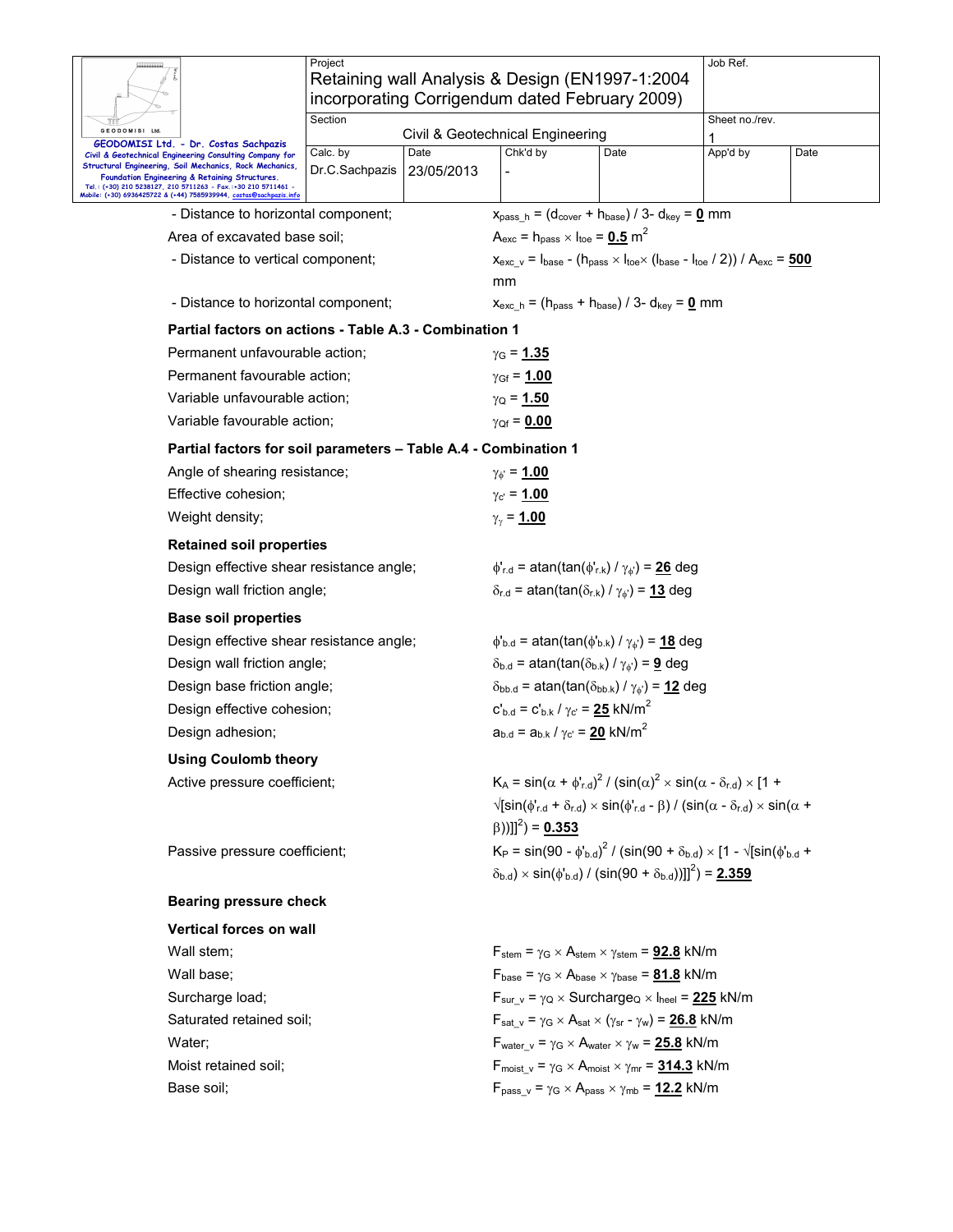|                                                                                                                                                                                                               | Project<br>Retaining wall Analysis & Design (EN1997-1:2004      |                                                                                                                 |                                                                                                        | Job Ref.                                                                                                                                                   |      |  |  |  |
|---------------------------------------------------------------------------------------------------------------------------------------------------------------------------------------------------------------|-----------------------------------------------------------------|-----------------------------------------------------------------------------------------------------------------|--------------------------------------------------------------------------------------------------------|------------------------------------------------------------------------------------------------------------------------------------------------------------|------|--|--|--|
|                                                                                                                                                                                                               | incorporating Corrigendum dated February 2009)                  |                                                                                                                 |                                                                                                        |                                                                                                                                                            |      |  |  |  |
| GEODOMISI Ltd                                                                                                                                                                                                 | Section<br>Civil & Geotechnical Engineering                     |                                                                                                                 |                                                                                                        | Sheet no./rev.                                                                                                                                             |      |  |  |  |
| GEODOMISI Ltd. - Dr. Costas Sachpazis<br>Civil & Geotechnical Engineering Consulting Company for<br>Structural Engineering, Soil Mechanics, Rock Mechanics,<br>Foundation Engineering & Retaining Structures. | Calc. by<br>Date<br>Dr.C.Sachpazis<br>23/05/2013                | Chk'd by                                                                                                        | Date                                                                                                   | App'd by                                                                                                                                                   | Date |  |  |  |
| Tel.: (+30) 210 5238127, 210 5711263 - Fax.:+30 210 5711461 -<br>Mobile: (+30) 6936425722 & (+44) 7585939944, costas@sachpazis.info                                                                           |                                                                 |                                                                                                                 |                                                                                                        |                                                                                                                                                            |      |  |  |  |
| - Distance to horizontal component;                                                                                                                                                                           |                                                                 |                                                                                                                 | $x_{pass h} = (d_{cover} + h_{base}) / 3 - d_{key} = 0$ mm                                             |                                                                                                                                                            |      |  |  |  |
| Area of excavated base soil;                                                                                                                                                                                  |                                                                 | $A_{\text{exc}}$ = h <sub>pass</sub> $\times$ l <sub>toe</sub> = <u>0.5</u> m <sup>2</sup>                      |                                                                                                        |                                                                                                                                                            |      |  |  |  |
| - Distance to vertical component;                                                                                                                                                                             |                                                                 |                                                                                                                 |                                                                                                        | $x_{\text{exc v}} = I_{\text{base}} - (h_{\text{pass}} \times I_{\text{toe}} \times (I_{\text{base}} - I_{\text{toe}} / 2)) / A_{\text{exc}} = 500$        |      |  |  |  |
|                                                                                                                                                                                                               |                                                                 | mm                                                                                                              |                                                                                                        |                                                                                                                                                            |      |  |  |  |
| - Distance to horizontal component;                                                                                                                                                                           |                                                                 | $x_{\text{exc h}} = (h_{\text{pass}} + h_{\text{base}})/3 - d_{\text{key}} = 0$ mm                              |                                                                                                        |                                                                                                                                                            |      |  |  |  |
|                                                                                                                                                                                                               | Partial factors on actions - Table A.3 - Combination 1          |                                                                                                                 |                                                                                                        |                                                                                                                                                            |      |  |  |  |
| Permanent unfavourable action:                                                                                                                                                                                |                                                                 | $γ$ <sub>G</sub> = 1.35                                                                                         |                                                                                                        |                                                                                                                                                            |      |  |  |  |
| Permanent favourable action;                                                                                                                                                                                  |                                                                 | $\gamma_{\rm Gf} = 1.00$                                                                                        |                                                                                                        |                                                                                                                                                            |      |  |  |  |
| Variable unfavourable action;                                                                                                                                                                                 |                                                                 | $\gamma_{\rm Q}$ = 1.50                                                                                         |                                                                                                        |                                                                                                                                                            |      |  |  |  |
| Variable favourable action;                                                                                                                                                                                   |                                                                 | $\gamma_{Qf} = 0.00$                                                                                            |                                                                                                        |                                                                                                                                                            |      |  |  |  |
|                                                                                                                                                                                                               | Partial factors for soil parameters - Table A.4 - Combination 1 |                                                                                                                 |                                                                                                        |                                                                                                                                                            |      |  |  |  |
| Angle of shearing resistance;                                                                                                                                                                                 |                                                                 | $\gamma_{\phi} = 1.00$                                                                                          |                                                                                                        |                                                                                                                                                            |      |  |  |  |
| Effective cohesion;                                                                                                                                                                                           |                                                                 | $\gamma_{\rm c'} = 1.00$                                                                                        |                                                                                                        |                                                                                                                                                            |      |  |  |  |
| Weight density;                                                                                                                                                                                               |                                                                 | $\gamma_{\gamma}$ = 1.00                                                                                        |                                                                                                        |                                                                                                                                                            |      |  |  |  |
| <b>Retained soil properties</b>                                                                                                                                                                               |                                                                 |                                                                                                                 |                                                                                                        |                                                                                                                                                            |      |  |  |  |
| Design effective shear resistance angle;                                                                                                                                                                      |                                                                 | $\phi'_{r.d}$ = atan(tan( $\phi'_{r.k}$ ) / $\gamma_{\phi'}$ ) = 26 deg                                         |                                                                                                        |                                                                                                                                                            |      |  |  |  |
| Design wall friction angle;                                                                                                                                                                                   |                                                                 |                                                                                                                 | $\delta_{r.d}$ = atan(tan( $\delta_{r.k}$ ) / $\gamma_{\phi}$ ) = 13 deg                               |                                                                                                                                                            |      |  |  |  |
| <b>Base soil properties</b>                                                                                                                                                                                   |                                                                 |                                                                                                                 |                                                                                                        |                                                                                                                                                            |      |  |  |  |
| Design effective shear resistance angle;                                                                                                                                                                      |                                                                 | $\phi_{\rm b.d}$ = atan(tan( $\phi_{\rm b.k}$ ) / $\gamma_{\phi}$ ) = 18 deg                                    |                                                                                                        |                                                                                                                                                            |      |  |  |  |
| Design wall friction angle;                                                                                                                                                                                   |                                                                 |                                                                                                                 | $\delta_{b.d}$ = atan(tan( $\delta_{b.k}$ ) / $\gamma_{\phi}$ ) = <b>9</b> deg                         |                                                                                                                                                            |      |  |  |  |
| Design base friction angle;                                                                                                                                                                                   |                                                                 |                                                                                                                 | $\delta_{\text{bb.d}}$ = atan(tan( $\delta_{\text{bb.k}}$ ) / $\gamma_{\phi}$ ) = 12 deg               |                                                                                                                                                            |      |  |  |  |
| Design effective cohesion;                                                                                                                                                                                    |                                                                 | $c'_{b,d} = c'_{b,k} / \gamma_c = 25$ kN/m <sup>2</sup>                                                         |                                                                                                        |                                                                                                                                                            |      |  |  |  |
| Design adhesion;                                                                                                                                                                                              |                                                                 | $a_{b.d} = a_{b.k} / \gamma_{c'} = 20$ kN/m <sup>2</sup>                                                        |                                                                                                        |                                                                                                                                                            |      |  |  |  |
| <b>Using Coulomb theory</b>                                                                                                                                                                                   |                                                                 |                                                                                                                 |                                                                                                        |                                                                                                                                                            |      |  |  |  |
| Active pressure coefficient;                                                                                                                                                                                  |                                                                 |                                                                                                                 |                                                                                                        | $K_A = \sin(\alpha + \phi'_{r,d})^2 / (\sin(\alpha)^2 \times \sin(\alpha - \delta_{r,d}) \times [1 +$                                                      |      |  |  |  |
|                                                                                                                                                                                                               |                                                                 |                                                                                                                 |                                                                                                        | $\sqrt{\sin(\phi_{r,d}^{\prime} + \delta_{r,d}) \times \sin(\phi_{r,d}^{\prime} - \beta)}$ / (sin( $\alpha - \delta_{r,d}$ ) $\times \sin(\alpha + \beta)$ |      |  |  |  |
|                                                                                                                                                                                                               |                                                                 | $(\beta))$ ]] <sup>2</sup> ) = 0.353                                                                            |                                                                                                        |                                                                                                                                                            |      |  |  |  |
| Passive pressure coefficient;                                                                                                                                                                                 |                                                                 | $K_P = \sin(90 - \phi_{b,d})^2 / (\sin(90 + \delta_{b,d}) \times [1 - \sqrt{\sin(\phi_{b,d} + \phi_{b,d})}]^2)$ |                                                                                                        |                                                                                                                                                            |      |  |  |  |
|                                                                                                                                                                                                               |                                                                 |                                                                                                                 |                                                                                                        | $(\delta_{b,d}) \times \sin(\phi_{b,d}) / (\sin(90 + \delta_{b,d}))$ ]] <sup>2</sup> $) = 2.359$                                                           |      |  |  |  |
| <b>Bearing pressure check</b>                                                                                                                                                                                 |                                                                 |                                                                                                                 |                                                                                                        |                                                                                                                                                            |      |  |  |  |
| <b>Vertical forces on wall</b>                                                                                                                                                                                |                                                                 |                                                                                                                 |                                                                                                        |                                                                                                                                                            |      |  |  |  |
| Wall stem;                                                                                                                                                                                                    |                                                                 |                                                                                                                 | $F_{stem}$ = $\gamma$ <sub>G</sub> × A <sub>stem</sub> × $\gamma$ <sub>stem</sub> = <b>92.8</b> kN/m   |                                                                                                                                                            |      |  |  |  |
| Wall base;                                                                                                                                                                                                    |                                                                 |                                                                                                                 | $F_{\text{base}} = \gamma_G \times A_{\text{base}} \times \gamma_{\text{base}} = 81.8$ kN/m            |                                                                                                                                                            |      |  |  |  |
| Surcharge load;                                                                                                                                                                                               |                                                                 |                                                                                                                 | $F_{\text{sur v}} = \gamma_Q \times \text{Surcharge}_Q \times I_{\text{heel}} = 225 \text{ kN/m}$      |                                                                                                                                                            |      |  |  |  |
| Saturated retained soil;                                                                                                                                                                                      |                                                                 |                                                                                                                 | $F_{\text{sat v}} = \gamma_G \times A_{\text{sat} \times (\gamma_{\text{sr}} - \gamma_w)} = 26.8$ kN/m |                                                                                                                                                            |      |  |  |  |
| Water;                                                                                                                                                                                                        |                                                                 |                                                                                                                 | $F_{water}$ v = $\gamma$ G × A <sub>water</sub> × $\gamma_w$ = 25.8 kN/m                               |                                                                                                                                                            |      |  |  |  |
| Moist retained soil:                                                                                                                                                                                          |                                                                 |                                                                                                                 | $F_{\text{moist v}} = \gamma_G \times A_{\text{moist x}} \gamma_{\text{mr}} = 314.3 \text{ kN/m}$      |                                                                                                                                                            |      |  |  |  |
| Base soil;                                                                                                                                                                                                    |                                                                 |                                                                                                                 | $F_{pass\ v} = \gamma_G \times A_{pass} \times \gamma_{mb} = 12.2$ kN/m                                |                                                                                                                                                            |      |  |  |  |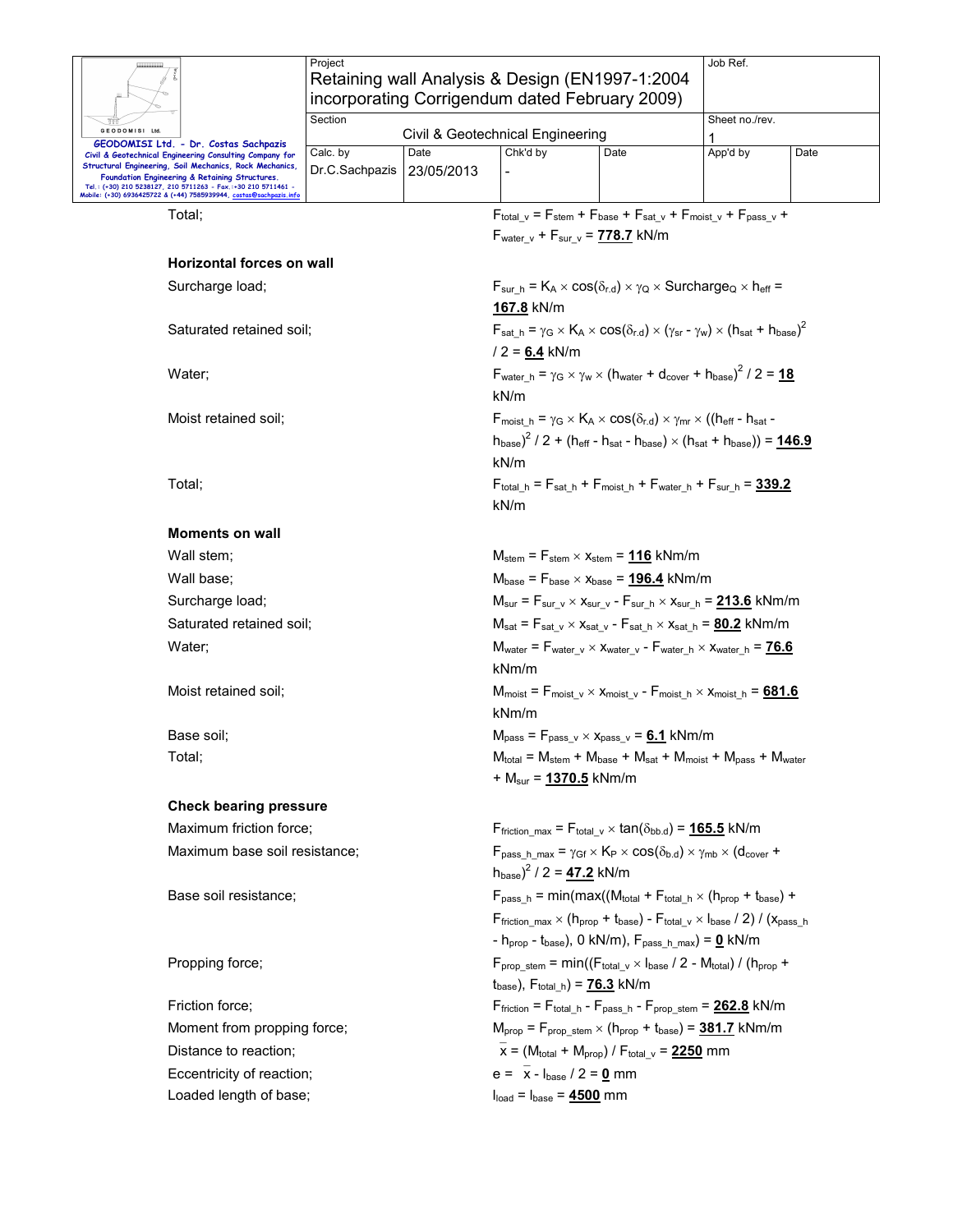|                                                                                                                    | Project        |                                                |                                                                                                                |                                                                                                       | Job Ref.                                                                                                                                               |      |  |  |
|--------------------------------------------------------------------------------------------------------------------|----------------|------------------------------------------------|----------------------------------------------------------------------------------------------------------------|-------------------------------------------------------------------------------------------------------|--------------------------------------------------------------------------------------------------------------------------------------------------------|------|--|--|
|                                                                                                                    |                |                                                |                                                                                                                | Retaining wall Analysis & Design (EN1997-1:2004                                                       |                                                                                                                                                        |      |  |  |
|                                                                                                                    |                | incorporating Corrigendum dated February 2009) |                                                                                                                |                                                                                                       |                                                                                                                                                        |      |  |  |
| GEODOMISI Ltd.                                                                                                     | Section        |                                                |                                                                                                                |                                                                                                       | Sheet no./rev.                                                                                                                                         |      |  |  |
| GEODOMISI Ltd. - Dr. Costas Sachpazis                                                                              |                |                                                | Civil & Geotechnical Engineering                                                                               |                                                                                                       |                                                                                                                                                        |      |  |  |
| Civil & Geotechnical Engineering Consulting Company for<br>Structural Engineering, Soil Mechanics, Rock Mechanics, | Calc. by       | Date                                           | Chk'd by                                                                                                       | Date                                                                                                  | App'd by                                                                                                                                               | Date |  |  |
| Foundation Engineering & Retaining Structures.<br>Tel.: (+30) 210 5238127, 210 5711263 - Fax.:+30 210 5711461 -    | Dr.C.Sachpazis | 23/05/2013                                     |                                                                                                                |                                                                                                       |                                                                                                                                                        |      |  |  |
| Mobile: (+30) 6936425722 & (+44) 7585939944, <u>costas@sachpazis.inf</u> c                                         |                |                                                |                                                                                                                |                                                                                                       |                                                                                                                                                        |      |  |  |
| Total:                                                                                                             |                |                                                |                                                                                                                |                                                                                                       | $F_{\text{total v}} = F_{\text{stem}} + F_{\text{base}} + F_{\text{sat v}} + F_{\text{moist v}} + F_{\text{pass v}} +$                                 |      |  |  |
|                                                                                                                    |                |                                                |                                                                                                                | $F_{\text{water v}} + F_{\text{sur v}} = 778.7$ kN/m                                                  |                                                                                                                                                        |      |  |  |
| Horizontal forces on wall                                                                                          |                |                                                |                                                                                                                |                                                                                                       |                                                                                                                                                        |      |  |  |
| Surcharge load;                                                                                                    |                |                                                |                                                                                                                |                                                                                                       | $F_{sur_h} = K_A \times cos(\delta_{r.d}) \times \gamma_Q \times Surcharge_Q \times h_{eff} =$                                                         |      |  |  |
|                                                                                                                    |                |                                                | 167.8 kN/m                                                                                                     |                                                                                                       |                                                                                                                                                        |      |  |  |
|                                                                                                                    |                |                                                |                                                                                                                |                                                                                                       |                                                                                                                                                        |      |  |  |
| Saturated retained soil;                                                                                           |                |                                                |                                                                                                                |                                                                                                       | $F_{\text{sat h}} = \gamma_G \times K_A \times \cos(\delta_{r.d}) \times (\gamma_{sr} - \gamma_w) \times (h_{\text{sat}} + h_{\text{base}})^2$         |      |  |  |
|                                                                                                                    |                |                                                | $/ 2 = 6.4$ kN/m                                                                                               |                                                                                                       |                                                                                                                                                        |      |  |  |
| Water;                                                                                                             |                |                                                |                                                                                                                |                                                                                                       | $F_{\text{water\_}h} = \gamma_G \times \gamma_W \times (h_{\text{water}} + d_{\text{cover}} + h_{\text{base}})^2 / 2 = 18$                             |      |  |  |
|                                                                                                                    |                |                                                | kN/m                                                                                                           |                                                                                                       |                                                                                                                                                        |      |  |  |
| Moist retained soil;                                                                                               |                |                                                |                                                                                                                |                                                                                                       | $F_{\text{moist h}} = \gamma_G \times K_A \times \cos(\delta_{r.d}) \times \gamma_{mr} \times ((h_{\text{eff}} - h_{\text{sat}} -$                     |      |  |  |
|                                                                                                                    |                |                                                |                                                                                                                |                                                                                                       | $h_{base}$ <sup>2</sup> / 2 + (h <sub>eff</sub> - h <sub>sat</sub> - h <sub>base</sub> ) × (h <sub>sat</sub> + h <sub>base</sub> )) = <b>146.9</b>     |      |  |  |
|                                                                                                                    |                |                                                | kN/m                                                                                                           |                                                                                                       |                                                                                                                                                        |      |  |  |
| Total;                                                                                                             |                |                                                |                                                                                                                |                                                                                                       | $F_{total h} = F_{sat h} + F_{moist h} + F_{water h} + F_{sur h} = 339.2$                                                                              |      |  |  |
|                                                                                                                    |                |                                                |                                                                                                                |                                                                                                       |                                                                                                                                                        |      |  |  |
|                                                                                                                    |                |                                                | kN/m                                                                                                           |                                                                                                       |                                                                                                                                                        |      |  |  |
| <b>Moments on wall</b>                                                                                             |                |                                                |                                                                                                                |                                                                                                       |                                                                                                                                                        |      |  |  |
| Wall stem;                                                                                                         |                |                                                |                                                                                                                | $M_{stem}$ = $F_{stem}$ $\times$ $x_{stem}$ = 116 kNm/m                                               |                                                                                                                                                        |      |  |  |
| Wall base:                                                                                                         |                |                                                |                                                                                                                | $M_{base}$ = $F_{base} \times x_{base}$ = 196.4 kNm/m                                                 |                                                                                                                                                        |      |  |  |
| Surcharge load;                                                                                                    |                |                                                |                                                                                                                |                                                                                                       | $M_{\text{sur}} = F_{\text{sur v}} \times x_{\text{sur v}} - F_{\text{sur h}} \times x_{\text{sur h}} = 213.6$ kNm/m                                   |      |  |  |
| Saturated retained soil;                                                                                           |                |                                                | $M_{sat}$ = $F_{sat}$ $_v \times x_{sat}$ $_v$ - $F_{sat}$ $_h \times x_{sat}$ $_h$ = $\underline{80.2}$ kNm/m |                                                                                                       |                                                                                                                                                        |      |  |  |
| Water;                                                                                                             |                |                                                |                                                                                                                |                                                                                                       | $M_{water}$ = $F_{water}$ v $\times$ $X_{water}$ v - $F_{water}$ h $\times$ $X_{water}$ h = $76.6$                                                     |      |  |  |
|                                                                                                                    |                |                                                | kNm/m                                                                                                          |                                                                                                       |                                                                                                                                                        |      |  |  |
| Moist retained soil;                                                                                               |                |                                                |                                                                                                                |                                                                                                       | $M_{\text{moist}} = F_{\text{moist\_v}} \times x_{\text{moist\_v}} - F_{\text{moist\_h}} \times x_{\text{moist\_h}} = 681.6$                           |      |  |  |
|                                                                                                                    |                |                                                | kNm/m                                                                                                          |                                                                                                       |                                                                                                                                                        |      |  |  |
| Base soil;                                                                                                         |                |                                                |                                                                                                                | $M_{pass} = F_{pass_v} \times x_{pass_v} = 6.1$ kNm/m                                                 |                                                                                                                                                        |      |  |  |
| Total;                                                                                                             |                |                                                |                                                                                                                |                                                                                                       | $M_{total}$ = $M_{stem}$ + $M_{base}$ + $M_{sat}$ + $M_{moist}$ + $M_{pass}$ + $M_{water}$                                                             |      |  |  |
|                                                                                                                    |                |                                                | + M <sub>sur</sub> = <u>1370.5</u> kNm/m                                                                       |                                                                                                       |                                                                                                                                                        |      |  |  |
| <b>Check bearing pressure</b>                                                                                      |                |                                                |                                                                                                                |                                                                                                       |                                                                                                                                                        |      |  |  |
| Maximum friction force;                                                                                            |                |                                                |                                                                                                                | $F_{\text{friction max}} = F_{\text{total v}} \times \tan(\delta_{\text{bb.d}}) = 165.5 \text{ kN/m}$ |                                                                                                                                                        |      |  |  |
| Maximum base soil resistance;                                                                                      |                |                                                |                                                                                                                |                                                                                                       | $F_{\text{pass h max}} = \gamma_{\text{Gf}} \times K_{\text{P}} \times \cos(\delta_{\text{b.d}}) \times \gamma_{\text{mb}} \times (d_{\text{cover}} +$ |      |  |  |
|                                                                                                                    |                |                                                | $(h_{\text{base}})^2$ / 2 = 47.2 kN/m                                                                          |                                                                                                       |                                                                                                                                                        |      |  |  |
| Base soil resistance;                                                                                              |                |                                                |                                                                                                                |                                                                                                       | $F_{\text{pass h}} = \min(\max((M_{\text{total}} + F_{\text{total h}} \times (h_{\text{prop}} + t_{\text{base}}) +$                                    |      |  |  |
|                                                                                                                    |                |                                                |                                                                                                                |                                                                                                       |                                                                                                                                                        |      |  |  |
|                                                                                                                    |                |                                                |                                                                                                                |                                                                                                       | Ffriction max $\times$ (h <sub>prop</sub> + t <sub>base</sub> ) - F <sub>total v</sub> $\times$ $I_{\text{base}}$ / 2) / ( $X_{\text{pass h}}$         |      |  |  |
|                                                                                                                    |                |                                                |                                                                                                                | - $h_{prop}$ - $t_{base}$ ), 0 kN/m), $F_{pass\_h\_max}$ ) = 0 kN/m                                   |                                                                                                                                                        |      |  |  |
| Propping force;                                                                                                    |                |                                                | $t_{base}$ ), $F_{total_h}$ ) = $76.3$ kN/m                                                                    |                                                                                                       | $F_{\text{prop\_stem}} = \min((F_{\text{total\_v}} \times I_{\text{base}} / 2 - M_{\text{total}}) / (h_{\text{prop}} +$                                |      |  |  |
| Friction force;                                                                                                    |                |                                                |                                                                                                                |                                                                                                       | $F_{\text{friction}} = F_{\text{total\_h}} - F_{\text{pass\_h}} - F_{\text{prop\_stem}} = 262.8$ kN/m                                                  |      |  |  |
| Moment from propping force;                                                                                        |                |                                                |                                                                                                                |                                                                                                       | $M_{prop} = F_{prop\_stem} \times (h_{prop} + t_{base}) = 381.7$ kNm/m                                                                                 |      |  |  |
| Distance to reaction;                                                                                              |                |                                                |                                                                                                                | $x = (M_{total} + M_{prop}) / F_{total}$ $v = 2250$ mm                                                |                                                                                                                                                        |      |  |  |
| Eccentricity of reaction;                                                                                          |                |                                                |                                                                                                                |                                                                                                       |                                                                                                                                                        |      |  |  |
| Loaded length of base;                                                                                             |                |                                                | $e = \bar{x} - I_{base} / 2 = 0$ mm<br>$Iload = Ibase = 4500 mm$                                               |                                                                                                       |                                                                                                                                                        |      |  |  |
|                                                                                                                    |                |                                                |                                                                                                                |                                                                                                       |                                                                                                                                                        |      |  |  |
|                                                                                                                    |                |                                                |                                                                                                                |                                                                                                       |                                                                                                                                                        |      |  |  |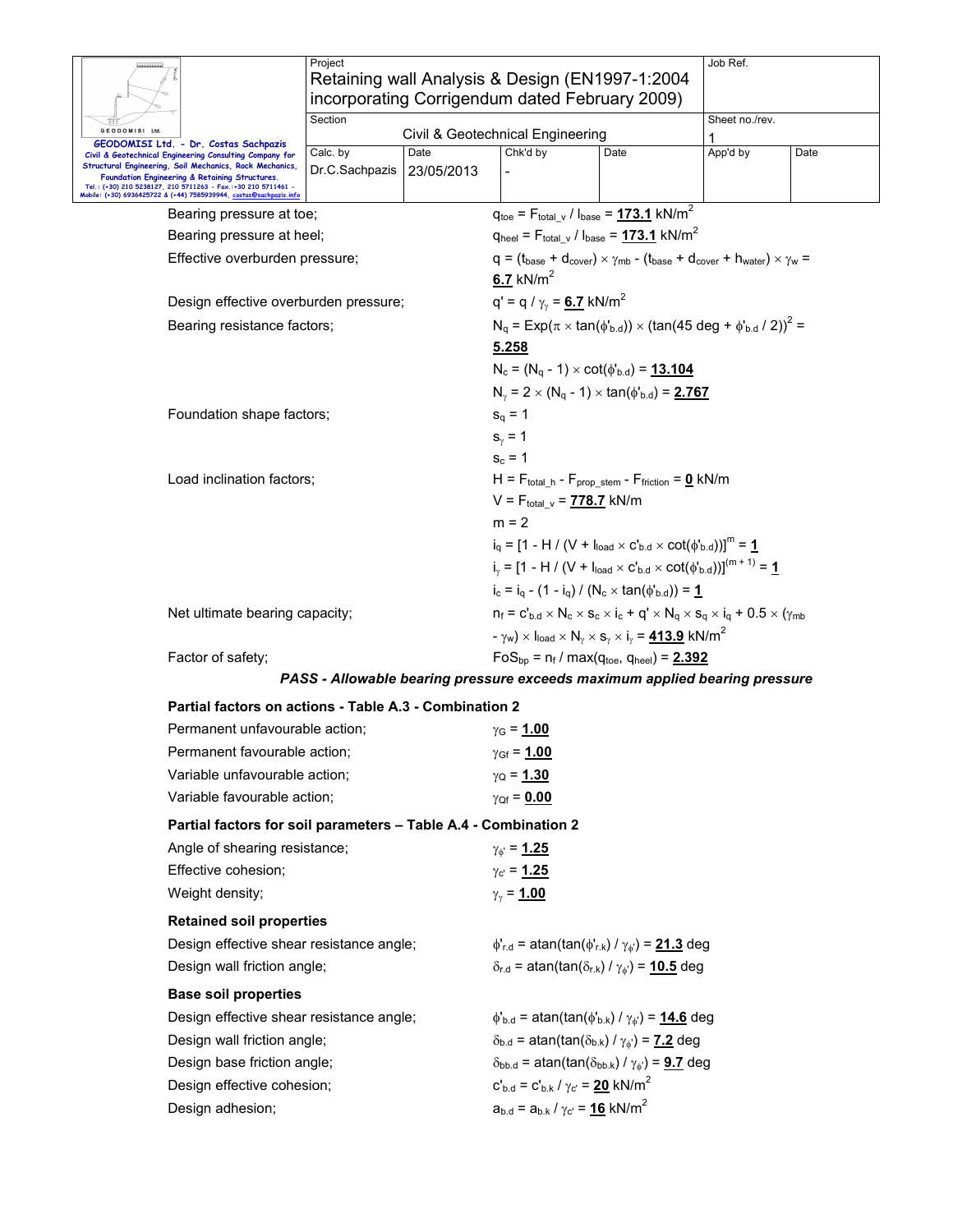|                                                                                                                                                                                                                                                                                                           | Project<br>Retaining wall Analysis & Design (EN1997-1:2004<br>incorporating Corrigendum dated February 2009) |                    |                                                                                                                                                                                                                   |                                                                                                                                                                                                                                                                                                                                                       | Job Ref.                                                                                               |      |  |  |
|-----------------------------------------------------------------------------------------------------------------------------------------------------------------------------------------------------------------------------------------------------------------------------------------------------------|--------------------------------------------------------------------------------------------------------------|--------------------|-------------------------------------------------------------------------------------------------------------------------------------------------------------------------------------------------------------------|-------------------------------------------------------------------------------------------------------------------------------------------------------------------------------------------------------------------------------------------------------------------------------------------------------------------------------------------------------|--------------------------------------------------------------------------------------------------------|------|--|--|
| GEODOMISI Ltd.<br>GEODOMISI Ltd. - Dr. Costas Sachpazis                                                                                                                                                                                                                                                   | Section                                                                                                      |                    | Civil & Geotechnical Engineering                                                                                                                                                                                  |                                                                                                                                                                                                                                                                                                                                                       | Sheet no./rev.                                                                                         |      |  |  |
| Civil & Geotechnical Engineering Consulting Company for<br>Structural Engineering, Soil Mechanics, Rock Mechanics,<br>Foundation Engineering & Retaining Structures.<br>Tel.: (+30) 210 5238127, 210 5711263 - Fax.:+30 210 5711461<br>Mobile: (+30) 6936425722 & (+44) 7585939944, costas@sachpazis.info | Calc. by<br>Dr.C.Sachpazis                                                                                   | Date<br>23/05/2013 | Chk'd by                                                                                                                                                                                                          | Date                                                                                                                                                                                                                                                                                                                                                  | App'd by                                                                                               | Date |  |  |
| Bearing pressure at toe;                                                                                                                                                                                                                                                                                  |                                                                                                              |                    |                                                                                                                                                                                                                   | $q_{\text{toe}} = F_{\text{total} \text{v}} / I_{\text{base}} = 173.1 \text{ kN/m}^2$                                                                                                                                                                                                                                                                 |                                                                                                        |      |  |  |
| Bearing pressure at heel;                                                                                                                                                                                                                                                                                 |                                                                                                              |                    |                                                                                                                                                                                                                   | $q_{\text{heel}} = F_{\text{total} \text{v}} / I_{\text{base}} = 173.1 \text{ kN/m}^2$                                                                                                                                                                                                                                                                |                                                                                                        |      |  |  |
| Effective overburden pressure;                                                                                                                                                                                                                                                                            |                                                                                                              |                    | 6.7 $kN/m^2$                                                                                                                                                                                                      |                                                                                                                                                                                                                                                                                                                                                       | $q = (t_{base} + d_{cover}) \times \gamma_{mb} - (t_{base} + d_{cover} + h_{water}) \times \gamma_w =$ |      |  |  |
| Design effective overburden pressure;                                                                                                                                                                                                                                                                     |                                                                                                              |                    | q' = q / $\gamma_{\gamma}$ = 6.7 kN/m <sup>2</sup>                                                                                                                                                                |                                                                                                                                                                                                                                                                                                                                                       |                                                                                                        |      |  |  |
|                                                                                                                                                                                                                                                                                                           | Bearing resistance factors;                                                                                  |                    |                                                                                                                                                                                                                   | $N_q = Exp(\pi \times tan(\phi_{b.d})) \times (tan(45 deg + \phi_{b.d} / 2))^2 =$<br><u>5.258</u><br>$N_c = (N_q - 1) \times \cot(\phi_{b.d}) = 13.104$<br>$N_{\gamma} = 2 \times (N_q - 1) \times \tan(\phi_{b.d}) = 2.767$                                                                                                                          |                                                                                                        |      |  |  |
|                                                                                                                                                                                                                                                                                                           | Foundation shape factors;                                                                                    |                    |                                                                                                                                                                                                                   |                                                                                                                                                                                                                                                                                                                                                       |                                                                                                        |      |  |  |
|                                                                                                                                                                                                                                                                                                           | Load inclination factors;                                                                                    |                    |                                                                                                                                                                                                                   | H = $F_{total h}$ - $F_{prop}$ stem - $F_{friction} = 0$ kN/m<br>$V = F_{total}$ $_{v} = 778.7$ kN/m<br>$m = 2$<br>$i_q = [1 - H / (V + I_{load} \times C_{b.d} \times \cot(\phi_{b.d}))]^m = 1$<br>$i_v = [1 - H / (V + I_{load} \times C_{b.d} \times \cot(\phi_{b.d}))]^{(m+1)} = 1$<br>$i_c = i_q - (1 - i_q) / (N_c \times tan(\phi_{b.d})) = 1$ |                                                                                                        |      |  |  |
| Net ultimate bearing capacity;                                                                                                                                                                                                                                                                            |                                                                                                              |                    | $n_f = c'_{b.d} \times N_c \times s_c \times i_c + q' \times N_q \times s_q \times i_q + 0.5 \times (\gamma_{mb}$<br>$-\gamma_w$ ) $\times$ $I_{load} \times N_v \times S_v \times I_v = 413.9$ kN/m <sup>2</sup> |                                                                                                                                                                                                                                                                                                                                                       |                                                                                                        |      |  |  |
| Factor of safety;                                                                                                                                                                                                                                                                                         |                                                                                                              |                    | $FoS_{bp} = n_f / max(q_{toe}, q_{heel}) = 2.392$                                                                                                                                                                 |                                                                                                                                                                                                                                                                                                                                                       |                                                                                                        |      |  |  |
|                                                                                                                                                                                                                                                                                                           |                                                                                                              |                    | PASS - Allowable bearing pressure exceeds maximum applied bearing pressure                                                                                                                                        |                                                                                                                                                                                                                                                                                                                                                       |                                                                                                        |      |  |  |
| Partial factors on actions - Table A.3 - Combination 2                                                                                                                                                                                                                                                    |                                                                                                              |                    |                                                                                                                                                                                                                   |                                                                                                                                                                                                                                                                                                                                                       |                                                                                                        |      |  |  |
| Permanent unfavourable action;                                                                                                                                                                                                                                                                            |                                                                                                              |                    | $γG = 1.00$                                                                                                                                                                                                       |                                                                                                                                                                                                                                                                                                                                                       |                                                                                                        |      |  |  |
| Permanent favourable action;                                                                                                                                                                                                                                                                              |                                                                                                              |                    | $\gamma_{\text{Gf}} = 1.00$                                                                                                                                                                                       |                                                                                                                                                                                                                                                                                                                                                       |                                                                                                        |      |  |  |
| Variable unfavourable action;                                                                                                                                                                                                                                                                             |                                                                                                              |                    | $\gamma_{\rm Q} = 1.30$                                                                                                                                                                                           |                                                                                                                                                                                                                                                                                                                                                       |                                                                                                        |      |  |  |
| Variable favourable action;                                                                                                                                                                                                                                                                               |                                                                                                              |                    | $\gamma_{\text{Qf}} = 0.00$                                                                                                                                                                                       |                                                                                                                                                                                                                                                                                                                                                       |                                                                                                        |      |  |  |
| Partial factors for soil parameters - Table A.4 - Combination 2                                                                                                                                                                                                                                           |                                                                                                              |                    |                                                                                                                                                                                                                   |                                                                                                                                                                                                                                                                                                                                                       |                                                                                                        |      |  |  |
| Angle of shearing resistance;                                                                                                                                                                                                                                                                             |                                                                                                              |                    | $\gamma_{\phi} = 1.25$                                                                                                                                                                                            |                                                                                                                                                                                                                                                                                                                                                       |                                                                                                        |      |  |  |
| Effective cohesion;                                                                                                                                                                                                                                                                                       |                                                                                                              |                    | $\gamma_{\rm c} = 1.25$                                                                                                                                                                                           |                                                                                                                                                                                                                                                                                                                                                       |                                                                                                        |      |  |  |
| Weight density;                                                                                                                                                                                                                                                                                           |                                                                                                              |                    | $\gamma_{\gamma} = 1.00$                                                                                                                                                                                          |                                                                                                                                                                                                                                                                                                                                                       |                                                                                                        |      |  |  |
| <b>Retained soil properties</b>                                                                                                                                                                                                                                                                           |                                                                                                              |                    |                                                                                                                                                                                                                   |                                                                                                                                                                                                                                                                                                                                                       |                                                                                                        |      |  |  |
|                                                                                                                                                                                                                                                                                                           | Design effective shear resistance angle;                                                                     |                    |                                                                                                                                                                                                                   | $\phi'_{r.d}$ = atan(tan( $\phi'_{r.k}$ ) / $\gamma_{\phi'}$ ) = 21.3 deg                                                                                                                                                                                                                                                                             |                                                                                                        |      |  |  |
|                                                                                                                                                                                                                                                                                                           | Design wall friction angle;                                                                                  |                    |                                                                                                                                                                                                                   | $\delta_{r.d}$ = atan(tan( $\delta_{r.k}$ ) / $\gamma_{\phi}$ ) = 10.5 deg                                                                                                                                                                                                                                                                            |                                                                                                        |      |  |  |
| <b>Base soil properties</b>                                                                                                                                                                                                                                                                               |                                                                                                              |                    |                                                                                                                                                                                                                   |                                                                                                                                                                                                                                                                                                                                                       |                                                                                                        |      |  |  |
| Design effective shear resistance angle;                                                                                                                                                                                                                                                                  |                                                                                                              |                    |                                                                                                                                                                                                                   | $\phi_{b.d}$ = atan(tan( $\phi_{b.k}$ ) / $\gamma_{\phi}$ ) = 14.6 deg                                                                                                                                                                                                                                                                                |                                                                                                        |      |  |  |
| Design wall friction angle;                                                                                                                                                                                                                                                                               |                                                                                                              |                    |                                                                                                                                                                                                                   | $\delta_{b.d}$ = atan(tan( $\delta_{b.k}$ ) / $\gamma_{\phi}$ ) = 7.2 deg                                                                                                                                                                                                                                                                             |                                                                                                        |      |  |  |
| Design base friction angle;                                                                                                                                                                                                                                                                               |                                                                                                              |                    |                                                                                                                                                                                                                   |                                                                                                                                                                                                                                                                                                                                                       |                                                                                                        |      |  |  |
| Design effective cohesion;                                                                                                                                                                                                                                                                                |                                                                                                              |                    | $\delta_{\text{bb.d}}$ = atan(tan( $\delta_{\text{bb.k}}$ ) / $\gamma_{\phi}$ ) = <b>9.7</b> deg<br>$c'_{b,d} = c'_{b,k} / \gamma_c = 20$ kN/m <sup>2</sup>                                                       |                                                                                                                                                                                                                                                                                                                                                       |                                                                                                        |      |  |  |
| Design adhesion;                                                                                                                                                                                                                                                                                          |                                                                                                              |                    | $a_{b.d} = a_{b.k} / \gamma_{c'} = 16$ kN/m <sup>2</sup>                                                                                                                                                          |                                                                                                                                                                                                                                                                                                                                                       |                                                                                                        |      |  |  |
|                                                                                                                                                                                                                                                                                                           |                                                                                                              |                    |                                                                                                                                                                                                                   |                                                                                                                                                                                                                                                                                                                                                       |                                                                                                        |      |  |  |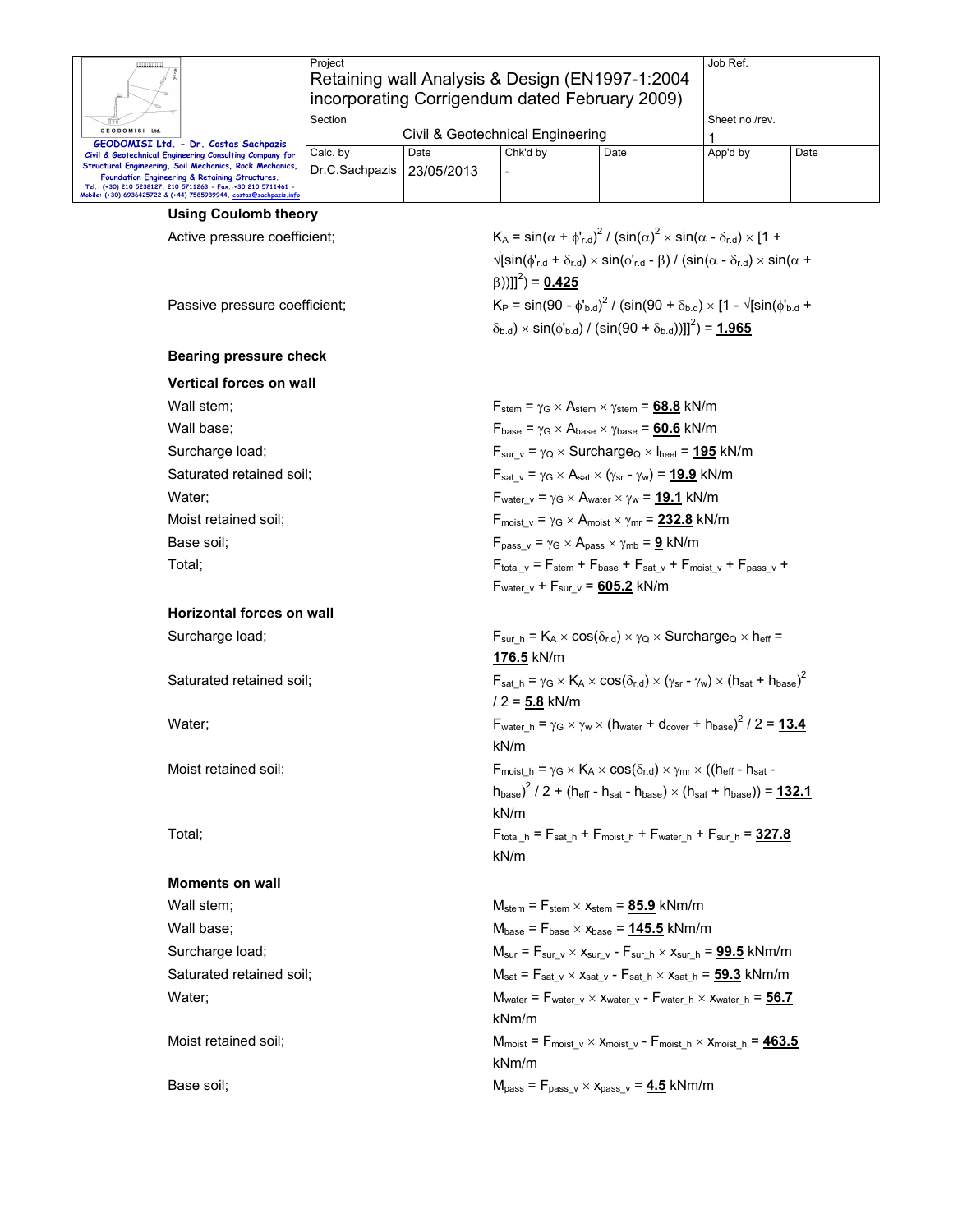|                                                                                                                                                                                       | Project                                              |            |                                                                                                                          |                                                                                                                                                               | Job Ref.       |      |  |  |  |
|---------------------------------------------------------------------------------------------------------------------------------------------------------------------------------------|------------------------------------------------------|------------|--------------------------------------------------------------------------------------------------------------------------|---------------------------------------------------------------------------------------------------------------------------------------------------------------|----------------|------|--|--|--|
|                                                                                                                                                                                       |                                                      |            | Retaining wall Analysis & Design (EN1997-1:2004)                                                                         |                                                                                                                                                               |                |      |  |  |  |
|                                                                                                                                                                                       |                                                      |            | incorporating Corrigendum dated February 2009)                                                                           |                                                                                                                                                               |                |      |  |  |  |
| GEODOMISI Ltd.                                                                                                                                                                        | Section                                              |            |                                                                                                                          |                                                                                                                                                               | Sheet no./rev. |      |  |  |  |
| GEODOMISI Ltd. - Dr. Costas Sachpazis                                                                                                                                                 | Calc. by                                             | Date       | Civil & Geotechnical Engineering<br>Chk'd by                                                                             | Date                                                                                                                                                          | 1              |      |  |  |  |
| Civil & Geotechnical Engineering Consulting Company for<br>Structural Engineering, Soil Mechanics, Rock Mechanics,                                                                    | Dr.C.Sachpazis                                       | 23/05/2013 |                                                                                                                          |                                                                                                                                                               | App'd by       | Date |  |  |  |
| Foundation Engineering & Retaining Structures.<br>Tel.: (+30) 210 5238127, 210 5711263 - Fax.:+30 210 5711461 -<br>Mobile: (+30) 6936425722 & (+44) 7585939944, costas@sachpazis.info |                                                      |            |                                                                                                                          |                                                                                                                                                               |                |      |  |  |  |
| <b>Using Coulomb theory</b>                                                                                                                                                           |                                                      |            |                                                                                                                          |                                                                                                                                                               |                |      |  |  |  |
| Active pressure coefficient;                                                                                                                                                          |                                                      |            |                                                                                                                          | $K_A = \sin(\alpha + \phi'_{r,d})^2 / (\sin(\alpha)^2 \times \sin(\alpha - \delta_{r,d}) \times [1 +$                                                         |                |      |  |  |  |
|                                                                                                                                                                                       |                                                      |            |                                                                                                                          | $\sqrt{\sin(\phi_{r,d} + \delta_{r,d}) \times \sin(\phi_{r,d} - \beta)}$ / (sin( $\alpha - \delta_{r,d}$ ) $\times \sin(\alpha + \beta)$                      |                |      |  |  |  |
|                                                                                                                                                                                       |                                                      |            | $(\beta))$ ]] <sup>2</sup> ) = 0.425                                                                                     |                                                                                                                                                               |                |      |  |  |  |
| Passive pressure coefficient;                                                                                                                                                         |                                                      |            |                                                                                                                          | $K_P = \sin(90 - \phi_{b,d}^{\prime})^2 / (\sin(90 + \delta_{b,d}) \times [1 - \sqrt{\sin(\phi_{b,d}^{\prime} +$                                              |                |      |  |  |  |
|                                                                                                                                                                                       |                                                      |            |                                                                                                                          | $(\delta_{b,d}) \times \sin(\phi_{b,d}) / (\sin(90 + \delta_{b,d}))$ ]] <sup>2</sup> $) = 1.965$                                                              |                |      |  |  |  |
|                                                                                                                                                                                       |                                                      |            |                                                                                                                          |                                                                                                                                                               |                |      |  |  |  |
| <b>Bearing pressure check</b>                                                                                                                                                         |                                                      |            |                                                                                                                          |                                                                                                                                                               |                |      |  |  |  |
| <b>Vertical forces on wall</b>                                                                                                                                                        |                                                      |            |                                                                                                                          |                                                                                                                                                               |                |      |  |  |  |
| Wall stem;                                                                                                                                                                            |                                                      |            |                                                                                                                          | $F_{stem}$ = $\gamma_G \times A_{stem} \times \gamma_{stem}$ = 68.8 kN/m                                                                                      |                |      |  |  |  |
| Wall base;                                                                                                                                                                            |                                                      |            |                                                                                                                          | $F_{\text{base}} = \gamma_G \times A_{\text{base}} \times \gamma_{\text{base}} = 60.6$ kN/m                                                                   |                |      |  |  |  |
| Surcharge load;                                                                                                                                                                       |                                                      |            |                                                                                                                          | $F_{\text{sur v}} = \gamma_Q \times \text{Surcharge}_Q \times I_{\text{heel}} = 195 \text{ kN/m}$                                                             |                |      |  |  |  |
|                                                                                                                                                                                       | Saturated retained soil;                             |            |                                                                                                                          | $F_{\text{sat v}} = \gamma_{G} \times A_{\text{sat}} \times (\gamma_{\text{sr}} - \gamma_{\text{w}}) = 19.9 \text{ kN/m}$                                     |                |      |  |  |  |
| Water;                                                                                                                                                                                |                                                      |            |                                                                                                                          | $F_{water v} = \gamma_G \times A_{water} \times \gamma_W = 19.1$ kN/m                                                                                         |                |      |  |  |  |
| Moist retained soil;                                                                                                                                                                  |                                                      |            |                                                                                                                          | $F_{\text{moist v}} = \gamma_G \times A_{\text{moist x}} \gamma_{\text{mr}} = 232.8$ kN/m                                                                     |                |      |  |  |  |
| Base soil:                                                                                                                                                                            |                                                      |            |                                                                                                                          | $F_{pass v} = \gamma_G \times A_{pass} \times \gamma_{mb} = \underline{9} \text{ kN/m}$                                                                       |                |      |  |  |  |
| Total;                                                                                                                                                                                |                                                      |            |                                                                                                                          | $F_{total v} = F_{stem} + F_{base} + F_{sat v} + F_{moist v} + F_{pass v} +$                                                                                  |                |      |  |  |  |
|                                                                                                                                                                                       | $F_{\text{water v}} + F_{\text{sur v}} = 605.2$ kN/m |            |                                                                                                                          |                                                                                                                                                               |                |      |  |  |  |
| Horizontal forces on wall                                                                                                                                                             |                                                      |            |                                                                                                                          |                                                                                                                                                               |                |      |  |  |  |
| Surcharge load;                                                                                                                                                                       |                                                      |            |                                                                                                                          | $F_{\text{sur h}} = K_A \times \cos(\delta_{r.d}) \times \gamma_Q \times \text{Surcharge}_Q \times h_{\text{eff}} =$<br>176.5 kN/m                            |                |      |  |  |  |
| Saturated retained soil;                                                                                                                                                              |                                                      |            | $/2 = 5.8$ kN/m                                                                                                          | $F_{sat h} = \gamma_G \times K_A \times \cos(\delta_{r.d}) \times (\gamma_{sr} - \gamma_w) \times (h_{sat} + h_{base})^2$                                     |                |      |  |  |  |
| Water;                                                                                                                                                                                |                                                      |            | kN/m                                                                                                                     | F <sub>water h</sub> = $\gamma$ <sub>G</sub> × $\gamma$ <sub>W</sub> × (h <sub>water</sub> + d <sub>cover</sub> + h <sub>base</sub> ) <sup>2</sup> / 2 = 13.4 |                |      |  |  |  |
| Moist retained soil;                                                                                                                                                                  |                                                      |            |                                                                                                                          | $F_{\text{moist h}} = \gamma_G \times K_A \times \cos(\delta_{r.d}) \times \gamma_{mr} \times ((h_{\text{eff}} - h_{\text{sat}} - h_{\text{sat}})))$          |                |      |  |  |  |
|                                                                                                                                                                                       |                                                      |            |                                                                                                                          | $(h_{\text{base}})^2$ / 2 + ( $h_{\text{eff}}$ - $h_{\text{sat}}$ - $h_{\text{base}}$ ) $\times$ ( $h_{\text{sat}}$ + $h_{\text{base}}$ )) = 132.1            |                |      |  |  |  |
|                                                                                                                                                                                       |                                                      |            | kN/m                                                                                                                     |                                                                                                                                                               |                |      |  |  |  |
| Total;                                                                                                                                                                                |                                                      |            | $F_{total_h} = F_{sat_h} + F_{moist_h} + F_{water_h} + F_{sur_h} = 327.8$                                                |                                                                                                                                                               |                |      |  |  |  |
|                                                                                                                                                                                       |                                                      |            |                                                                                                                          | kN/m                                                                                                                                                          |                |      |  |  |  |
| <b>Moments on wall</b>                                                                                                                                                                |                                                      |            |                                                                                                                          |                                                                                                                                                               |                |      |  |  |  |
| Wall stem;                                                                                                                                                                            |                                                      |            |                                                                                                                          | $M_{stem}$ = $F_{stem}$ $\times$ $x_{stem}$ = 85.9 kNm/m                                                                                                      |                |      |  |  |  |
| Wall base;                                                                                                                                                                            |                                                      |            |                                                                                                                          | $M_{\text{base}}$ = $F_{\text{base}} \times x_{\text{base}}$ = $\underline{145.5}$ kNm/m                                                                      |                |      |  |  |  |
| Surcharge load;                                                                                                                                                                       |                                                      |            |                                                                                                                          | $M_{\text{sur}} = F_{\text{sur v}} \times x_{\text{sur v}} - F_{\text{sur h}} \times x_{\text{sur h}} = 99.5 \text{ kNm/m}$                                   |                |      |  |  |  |
| Saturated retained soil;                                                                                                                                                              |                                                      |            |                                                                                                                          | $M_{sat}$ = $F_{sat}$ $_v \times x_{sat}$ $_v$ - $F_{sat}$ $_h \times x_{sat}$ $_h$ = 59.3 kNm/m                                                              |                |      |  |  |  |
| Water;                                                                                                                                                                                |                                                      |            |                                                                                                                          | $M_{water}$ = $F_{water_v} \times X_{water_v}$ - $F_{water_h} \times X_{water_h}$ = 56.7                                                                      |                |      |  |  |  |
|                                                                                                                                                                                       |                                                      |            | kNm/m                                                                                                                    |                                                                                                                                                               |                |      |  |  |  |
| Moist retained soil;                                                                                                                                                                  |                                                      |            | $M_{\text{moist}} = F_{\text{moist v}} \times x_{\text{moist v}} - F_{\text{moist h}} \times x_{\text{moist h}} = 463.5$ |                                                                                                                                                               |                |      |  |  |  |
|                                                                                                                                                                                       |                                                      |            | kNm/m                                                                                                                    |                                                                                                                                                               |                |      |  |  |  |
| Base soil;                                                                                                                                                                            |                                                      |            |                                                                                                                          | $M_{pass} = F_{pass \ v} \times x_{pass \ v} = 4.5$ kNm/m                                                                                                     |                |      |  |  |  |
|                                                                                                                                                                                       |                                                      |            |                                                                                                                          |                                                                                                                                                               |                |      |  |  |  |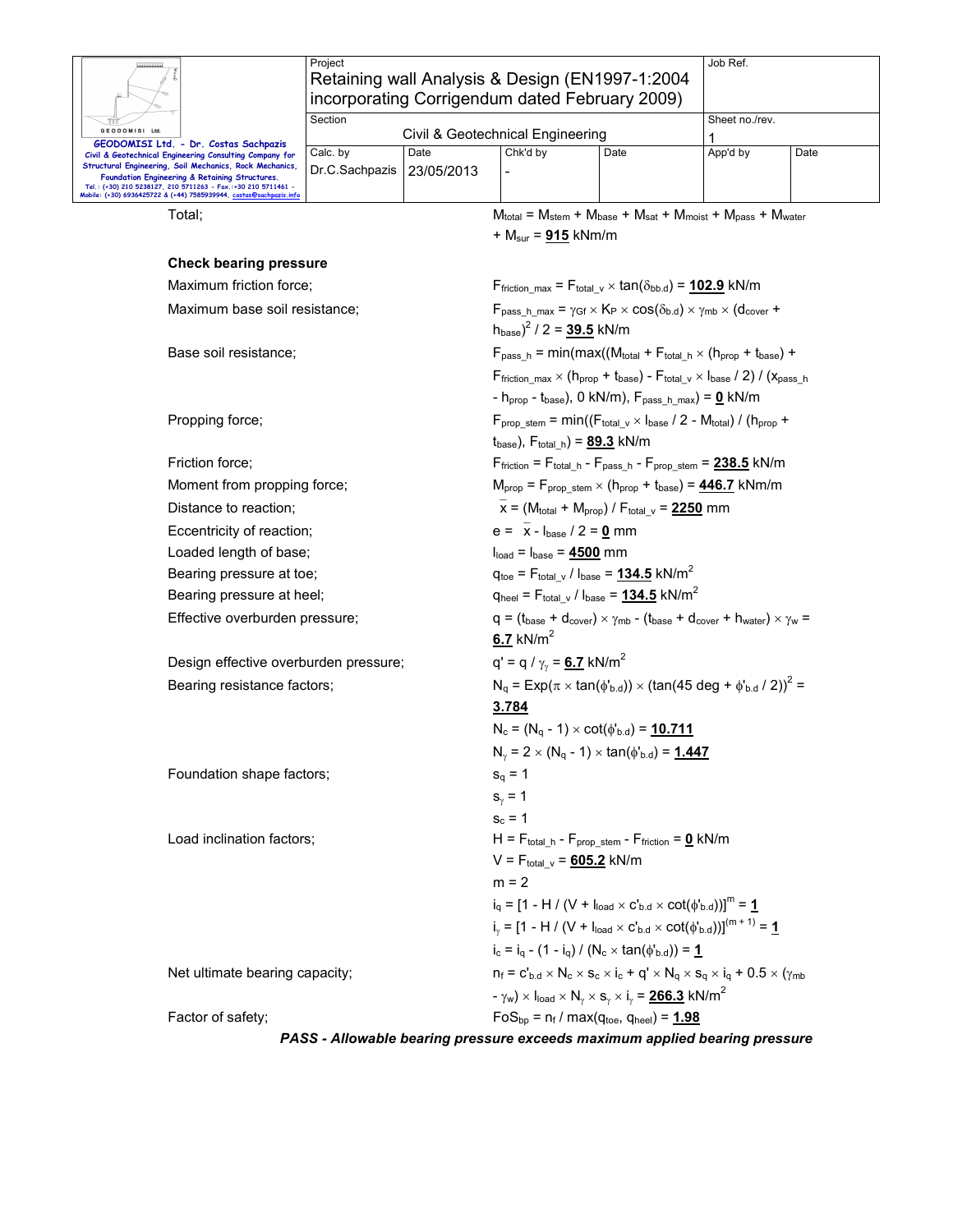|                                                                                                                                                                                                                                                                                                                                                             | Project                                                                                                                                                               |                                                                                                            | Retaining wall Analysis & Design (EN1997-1:2004<br>incorporating Corrigendum dated February 2009)                                 |      | Job Ref.                                                                                                                                                                                                                                    |      |  |  |  |  |
|-------------------------------------------------------------------------------------------------------------------------------------------------------------------------------------------------------------------------------------------------------------------------------------------------------------------------------------------------------------|-----------------------------------------------------------------------------------------------------------------------------------------------------------------------|------------------------------------------------------------------------------------------------------------|-----------------------------------------------------------------------------------------------------------------------------------|------|---------------------------------------------------------------------------------------------------------------------------------------------------------------------------------------------------------------------------------------------|------|--|--|--|--|
| GEODOMISI Ltd.                                                                                                                                                                                                                                                                                                                                              | Section                                                                                                                                                               |                                                                                                            | Civil & Geotechnical Engineering                                                                                                  |      | Sheet no./rev.<br>1                                                                                                                                                                                                                         |      |  |  |  |  |
| GEODOMISI Ltd. - Dr. Costas Sachpazis<br>Civil & Geotechnical Engineering Consulting Company for<br>Structural Engineering, Soil Mechanics, Rock Mechanics,<br>Foundation Engineering & Retaining Structures.<br>Tel.: (+30) 210 5238127, 210 5711263 - Fax.:+30 210 5711461 -<br>Mobile: (+30) 6936425722 & (+44) 7585939944, <u>costas@sachpazis.info</u> | Calc. by<br>Dr.C.Sachpazis                                                                                                                                            | Date<br>23/05/2013                                                                                         | Chk'd by                                                                                                                          | Date | App'd by                                                                                                                                                                                                                                    | Date |  |  |  |  |
| Total:                                                                                                                                                                                                                                                                                                                                                      |                                                                                                                                                                       |                                                                                                            |                                                                                                                                   |      | $M_{\text{total}} = M_{\text{stem}} + M_{\text{base}} + M_{\text{sat}} + M_{\text{moist}} + M_{\text{pass}} + M_{\text{water}}$                                                                                                             |      |  |  |  |  |
|                                                                                                                                                                                                                                                                                                                                                             |                                                                                                                                                                       |                                                                                                            | + $M_{\text{sur}}$ = 915 kNm/m                                                                                                    |      |                                                                                                                                                                                                                                             |      |  |  |  |  |
| <b>Check bearing pressure</b>                                                                                                                                                                                                                                                                                                                               |                                                                                                                                                                       |                                                                                                            |                                                                                                                                   |      |                                                                                                                                                                                                                                             |      |  |  |  |  |
| Maximum friction force;                                                                                                                                                                                                                                                                                                                                     |                                                                                                                                                                       |                                                                                                            |                                                                                                                                   |      | $F_{\text{friction max}} = F_{\text{total v}} \times \tan(\delta_{\text{bb.d}}) = 102.9 \text{ kN/m}$                                                                                                                                       |      |  |  |  |  |
| Maximum base soil resistance;                                                                                                                                                                                                                                                                                                                               |                                                                                                                                                                       |                                                                                                            | $(h_{base})^2$ / 2 = 39.5 kN/m                                                                                                    |      | $F_{pass h max} = \gamma_{Gf} \times K_P \times cos(\delta_{b.d}) \times \gamma_{mb} \times (d_{cover} +$                                                                                                                                   |      |  |  |  |  |
| Base soil resistance;                                                                                                                                                                                                                                                                                                                                       |                                                                                                                                                                       |                                                                                                            |                                                                                                                                   |      | $F_{pass_h}$ = min(max((Mtotal + $F_{total_h} \times (h_{prop} + t_{base})$ +                                                                                                                                                               |      |  |  |  |  |
|                                                                                                                                                                                                                                                                                                                                                             |                                                                                                                                                                       |                                                                                                            |                                                                                                                                   |      | Ffriction max $\times$ (h <sub>prop</sub> + t <sub>base</sub> ) - F <sub>total v</sub> $\times$ l <sub>base</sub> / 2) / ( $x_{pass h}$<br>$-h_{\text{prop}} - t_{\text{base}}$ , 0 kN/m), $F_{\text{pass } h \text{ max}}$ = <u>0</u> kN/m |      |  |  |  |  |
| Propping force;                                                                                                                                                                                                                                                                                                                                             | $F_{\text{prop stem}} = \min((F_{\text{total v}} \times I_{\text{base}} / 2 - M_{\text{total}}) / (h_{\text{prop}} +$<br>$(t_{base})$ , $F_{total h}$ ) = $89.3$ kN/m |                                                                                                            |                                                                                                                                   |      |                                                                                                                                                                                                                                             |      |  |  |  |  |
| Friction force;                                                                                                                                                                                                                                                                                                                                             |                                                                                                                                                                       | $F_{\text{friction}} = F_{\text{total h}} - F_{\text{pass h}} - F_{\text{prop stem}} = 238.5 \text{ kN/m}$ |                                                                                                                                   |      |                                                                                                                                                                                                                                             |      |  |  |  |  |
|                                                                                                                                                                                                                                                                                                                                                             | Moment from propping force;                                                                                                                                           |                                                                                                            |                                                                                                                                   |      | $M_{prop} = F_{prop \text{stem}} \times (h_{prop} + t_{base}) = 446.7 \text{ kNm/m}$                                                                                                                                                        |      |  |  |  |  |
| Distance to reaction;                                                                                                                                                                                                                                                                                                                                       |                                                                                                                                                                       | $x = (M_{total} + M_{prop}) / F_{total}$ $v = 2250$ mm                                                     |                                                                                                                                   |      |                                                                                                                                                                                                                                             |      |  |  |  |  |
| Eccentricity of reaction;                                                                                                                                                                                                                                                                                                                                   |                                                                                                                                                                       | $e = \bar{x} - I_{base} / 2 = 0$ mm                                                                        |                                                                                                                                   |      |                                                                                                                                                                                                                                             |      |  |  |  |  |
| Loaded length of base;                                                                                                                                                                                                                                                                                                                                      |                                                                                                                                                                       |                                                                                                            | $Iload = Ibase = 4500 mm$                                                                                                         |      |                                                                                                                                                                                                                                             |      |  |  |  |  |
| Bearing pressure at toe;                                                                                                                                                                                                                                                                                                                                    |                                                                                                                                                                       | $q_{\text{toe}} = F_{\text{total} \text{v}} / I_{\text{base}} = 134.5 \text{ kN/m}^2$                      |                                                                                                                                   |      |                                                                                                                                                                                                                                             |      |  |  |  |  |
| Bearing pressure at heel;                                                                                                                                                                                                                                                                                                                                   |                                                                                                                                                                       |                                                                                                            | $q_{\text{heel}} = F_{\text{total} \text{v}} / I_{\text{base}} = 134.5 \text{ kN/m}^2$                                            |      |                                                                                                                                                                                                                                             |      |  |  |  |  |
| Effective overburden pressure;                                                                                                                                                                                                                                                                                                                              |                                                                                                                                                                       |                                                                                                            | $q = (t_{base} + d_{cover}) \times \gamma_{mb} - (t_{base} + d_{cover} + h_{water}) \times \gamma_w =$<br>$6.7$ kN/m <sup>2</sup> |      |                                                                                                                                                                                                                                             |      |  |  |  |  |
| Design effective overburden pressure;                                                                                                                                                                                                                                                                                                                       |                                                                                                                                                                       |                                                                                                            | $q' = q / \gamma_v = 6.7$ kN/m <sup>2</sup>                                                                                       |      |                                                                                                                                                                                                                                             |      |  |  |  |  |
| Bearing resistance factors;                                                                                                                                                                                                                                                                                                                                 |                                                                                                                                                                       |                                                                                                            | $N_q = Exp(\pi \times tan(\phi_{b.d})) \times (tan(45 deg + \phi_{b.d} / 2))^2$<br>3.784                                          |      |                                                                                                                                                                                                                                             |      |  |  |  |  |
|                                                                                                                                                                                                                                                                                                                                                             |                                                                                                                                                                       |                                                                                                            | $N_c = (N_q - 1) \times \cot(\phi_{b.d}) = 10.711$                                                                                |      |                                                                                                                                                                                                                                             |      |  |  |  |  |
|                                                                                                                                                                                                                                                                                                                                                             |                                                                                                                                                                       |                                                                                                            | $N_{\gamma}$ = 2 $\times$ (N <sub>q</sub> - 1) $\times$ tan( $\phi$ <sup>1</sup> <sub>b.d</sub> ) = 1.447                         |      |                                                                                                                                                                                                                                             |      |  |  |  |  |
| Foundation shape factors;                                                                                                                                                                                                                                                                                                                                   |                                                                                                                                                                       |                                                                                                            | $s_q = 1$                                                                                                                         |      |                                                                                                                                                                                                                                             |      |  |  |  |  |
|                                                                                                                                                                                                                                                                                                                                                             |                                                                                                                                                                       |                                                                                                            | $s_{\gamma} = 1$                                                                                                                  |      |                                                                                                                                                                                                                                             |      |  |  |  |  |
|                                                                                                                                                                                                                                                                                                                                                             |                                                                                                                                                                       |                                                                                                            | $s_c = 1$                                                                                                                         |      |                                                                                                                                                                                                                                             |      |  |  |  |  |
| Load inclination factors;                                                                                                                                                                                                                                                                                                                                   |                                                                                                                                                                       |                                                                                                            | $H = F_{total_h} - F_{prop\_stem} - F_{friction} = 0$ kN/m<br>$V = F_{total}$ $_v = 605.2$ kN/m                                   |      |                                                                                                                                                                                                                                             |      |  |  |  |  |
|                                                                                                                                                                                                                                                                                                                                                             |                                                                                                                                                                       |                                                                                                            | $m = 2$                                                                                                                           |      |                                                                                                                                                                                                                                             |      |  |  |  |  |
|                                                                                                                                                                                                                                                                                                                                                             |                                                                                                                                                                       |                                                                                                            | $i_q = [1 - H / (V + I_{load} \times C_{b.d} \times \cot(\phi_{b.d}))]^m = 1$                                                     |      |                                                                                                                                                                                                                                             |      |  |  |  |  |
|                                                                                                                                                                                                                                                                                                                                                             |                                                                                                                                                                       |                                                                                                            |                                                                                                                                   |      | $i_y = [1 - H / (V + I_{load} \times C_{b.d} \times \cot(\phi_{b.d}))]^{(m+1)} = 1$                                                                                                                                                         |      |  |  |  |  |
|                                                                                                                                                                                                                                                                                                                                                             |                                                                                                                                                                       |                                                                                                            | $i_c = i_q - (1 - i_q) / (N_c \times \tan(\phi_{b.d})) = 1$                                                                       |      |                                                                                                                                                                                                                                             |      |  |  |  |  |
| Net ultimate bearing capacity;                                                                                                                                                                                                                                                                                                                              |                                                                                                                                                                       |                                                                                                            |                                                                                                                                   |      | $n_f = c'_{b,d} \times N_c \times s_c \times i_c + q' \times N_q \times s_q \times i_q + 0.5 \times (\gamma_{mb}$                                                                                                                           |      |  |  |  |  |
|                                                                                                                                                                                                                                                                                                                                                             |                                                                                                                                                                       |                                                                                                            | $- \gamma_w$ ) × $I_{load}$ × $N_\gamma$ × $s_\gamma$ × $i_\gamma$ = 266.3 kN/m <sup>2</sup>                                      |      |                                                                                                                                                                                                                                             |      |  |  |  |  |
| Factor of safety;                                                                                                                                                                                                                                                                                                                                           |                                                                                                                                                                       |                                                                                                            | $FoS_{bp} = n_f / max(q_{toe}, q_{heel}) = 1.98$                                                                                  |      |                                                                                                                                                                                                                                             |      |  |  |  |  |
|                                                                                                                                                                                                                                                                                                                                                             |                                                                                                                                                                       |                                                                                                            | PASS - Allowable bearing pressure exceeds maximum applied bearing pressure                                                        |      |                                                                                                                                                                                                                                             |      |  |  |  |  |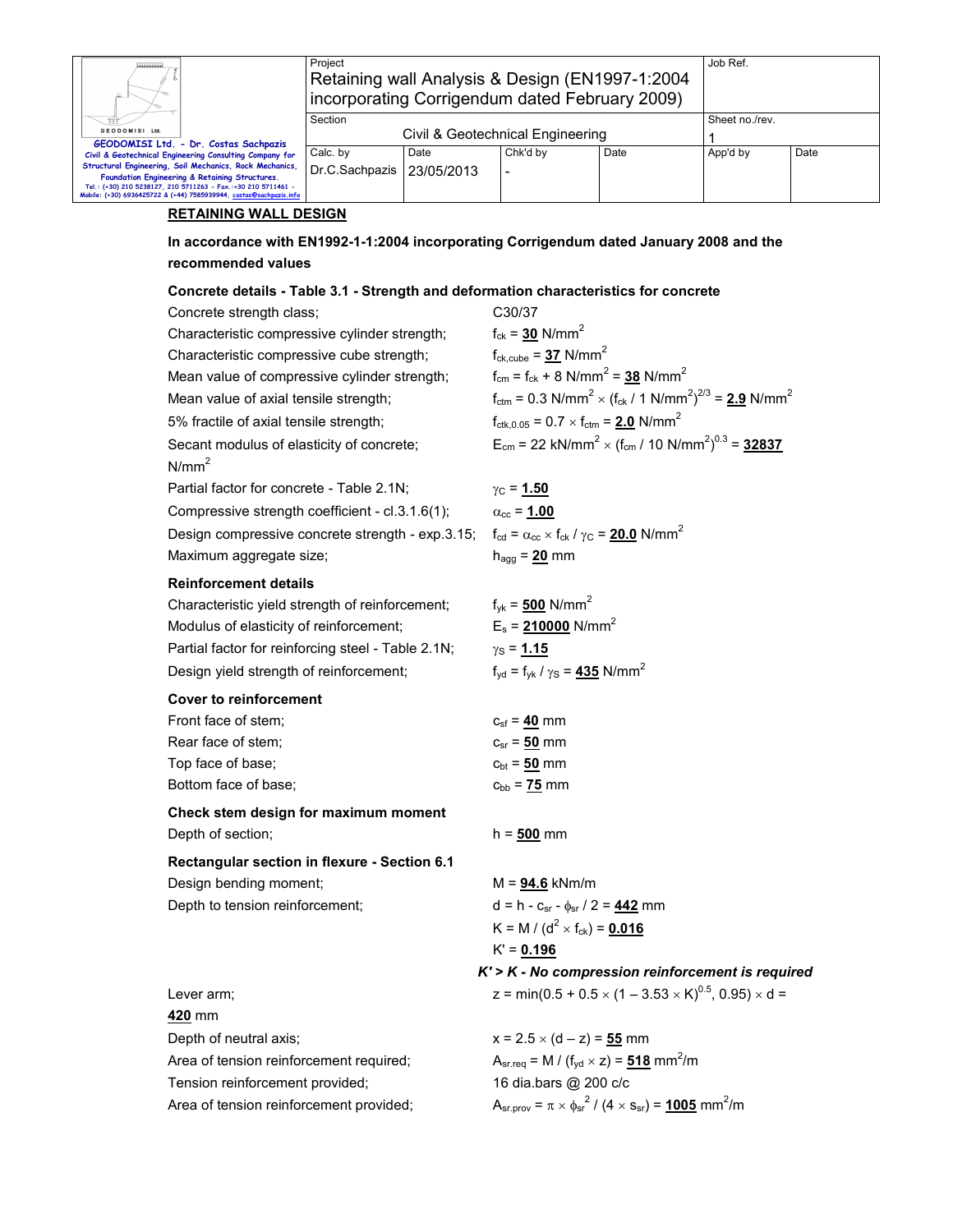|                                                                                                                                                                                       | Project                                                                                           |                    | Job Ref.                                                                                                                                             |                                                                                      |                                                                                                            |      |  |  |
|---------------------------------------------------------------------------------------------------------------------------------------------------------------------------------------|---------------------------------------------------------------------------------------------------|--------------------|------------------------------------------------------------------------------------------------------------------------------------------------------|--------------------------------------------------------------------------------------|------------------------------------------------------------------------------------------------------------|------|--|--|
|                                                                                                                                                                                       | Retaining wall Analysis & Design (EN1997-1:2004<br>incorporating Corrigendum dated February 2009) |                    |                                                                                                                                                      |                                                                                      |                                                                                                            |      |  |  |
|                                                                                                                                                                                       | Section                                                                                           |                    | Sheet no./rev.                                                                                                                                       |                                                                                      |                                                                                                            |      |  |  |
| GEODOMISI Ltd.<br>GEODOMISI Ltd. - Dr. Costas Sachpazis                                                                                                                               |                                                                                                   |                    | Civil & Geotechnical Engineering                                                                                                                     |                                                                                      | 1                                                                                                          |      |  |  |
| Civil & Geotechnical Engineering Consulting Company for<br>Structural Engineering, Soil Mechanics, Rock Mechanics,                                                                    | Calc. by<br>Dr.C.Sachpazis                                                                        | Date<br>23/05/2013 | Chk'd by                                                                                                                                             | Date                                                                                 | App'd by                                                                                                   | Date |  |  |
| Foundation Engineering & Retaining Structures.<br>Tel.: (+30) 210 5238127, 210 5711263 - Fax.:+30 210 5711461 -<br>Mobile: (+30) 6936425722 & (+44) 7585939944, costas@sachpazis.info |                                                                                                   |                    |                                                                                                                                                      |                                                                                      |                                                                                                            |      |  |  |
| <b>RETAINING WALL DESIGN</b>                                                                                                                                                          |                                                                                                   |                    |                                                                                                                                                      |                                                                                      |                                                                                                            |      |  |  |
| In accordance with EN1992-1-1:2004 incorporating Corrigendum dated January 2008 and the                                                                                               |                                                                                                   |                    |                                                                                                                                                      |                                                                                      |                                                                                                            |      |  |  |
| recommended values                                                                                                                                                                    |                                                                                                   |                    |                                                                                                                                                      |                                                                                      |                                                                                                            |      |  |  |
| Concrete details - Table 3.1 - Strength and deformation characteristics for concrete                                                                                                  |                                                                                                   |                    |                                                                                                                                                      |                                                                                      |                                                                                                            |      |  |  |
| Concrete strength class;                                                                                                                                                              |                                                                                                   |                    | C30/37                                                                                                                                               |                                                                                      |                                                                                                            |      |  |  |
| Characteristic compressive cylinder strength;                                                                                                                                         |                                                                                                   |                    | $f_{ck} = 30$ N/mm <sup>2</sup>                                                                                                                      |                                                                                      |                                                                                                            |      |  |  |
| Characteristic compressive cube strength;                                                                                                                                             |                                                                                                   |                    | $f_{ck,cube} = 37$ N/mm <sup>2</sup>                                                                                                                 |                                                                                      |                                                                                                            |      |  |  |
| Mean value of compressive cylinder strength;                                                                                                                                          |                                                                                                   |                    |                                                                                                                                                      | $f_{cm} = f_{ck} + 8$ N/mm <sup>2</sup> = 38 N/mm <sup>2</sup>                       |                                                                                                            |      |  |  |
| Mean value of axial tensile strength;                                                                                                                                                 |                                                                                                   |                    |                                                                                                                                                      |                                                                                      | $f_{\text{ctm}} = 0.3 \text{ N/mm}^2 \times (f_{\text{ck}} / 1 \text{ N/mm}^2)^{2/3} = 2.9 \text{ N/mm}^2$ |      |  |  |
| 5% fractile of axial tensile strength;                                                                                                                                                |                                                                                                   |                    |                                                                                                                                                      | $f_{\text{ctk},0.05} = 0.7 \times f_{\text{ctm}} = 2.0 \text{ N/mm}^2$               |                                                                                                            |      |  |  |
| Secant modulus of elasticity of concrete;<br>N/mm <sup>2</sup>                                                                                                                        |                                                                                                   |                    |                                                                                                                                                      |                                                                                      | $E_{cm}$ = 22 kN/mm <sup>2</sup> × (f <sub>cm</sub> / 10 N/mm <sup>2</sup> ) <sup>0.3</sup> = <b>32837</b> |      |  |  |
| Partial factor for concrete - Table 2.1N;                                                                                                                                             |                                                                                                   |                    | $\gamma_{\rm C} = 1.50$                                                                                                                              |                                                                                      |                                                                                                            |      |  |  |
| Compressive strength coefficient - cl.3.1.6(1);                                                                                                                                       |                                                                                                   |                    | $\alpha_{\rm cc}$ = 1.00                                                                                                                             |                                                                                      |                                                                                                            |      |  |  |
|                                                                                                                                                                                       |                                                                                                   |                    | Design compressive concrete strength - exp.3.15; $f_{\text{cd}} = \alpha_{\text{cc}} \times f_{\text{ck}} / \gamma_{\text{C}} = 20.0 \text{ N/mm}^2$ |                                                                                      |                                                                                                            |      |  |  |
| Maximum aggregate size;                                                                                                                                                               |                                                                                                   |                    | $h_{agg} = 20$ mm                                                                                                                                    |                                                                                      |                                                                                                            |      |  |  |
| <b>Reinforcement details</b>                                                                                                                                                          |                                                                                                   |                    |                                                                                                                                                      |                                                                                      |                                                                                                            |      |  |  |
| Characteristic yield strength of reinforcement;                                                                                                                                       |                                                                                                   |                    | $f_{yk} = 500$ N/mm <sup>2</sup>                                                                                                                     |                                                                                      |                                                                                                            |      |  |  |
| Modulus of elasticity of reinforcement;                                                                                                                                               |                                                                                                   |                    | $E_s$ = 210000 N/mm <sup>2</sup>                                                                                                                     |                                                                                      |                                                                                                            |      |  |  |
| Partial factor for reinforcing steel - Table 2.1N;                                                                                                                                    |                                                                                                   |                    | $\gamma s = 1.15$                                                                                                                                    |                                                                                      |                                                                                                            |      |  |  |
| Design yield strength of reinforcement;                                                                                                                                               |                                                                                                   |                    | $f_{\text{vd}} = f_{\text{vk}} / \gamma_{\text{S}} = 435 \text{ N/mm}^2$                                                                             |                                                                                      |                                                                                                            |      |  |  |
| <b>Cover to reinforcement</b>                                                                                                                                                         |                                                                                                   |                    |                                                                                                                                                      |                                                                                      |                                                                                                            |      |  |  |
| Front face of stem;                                                                                                                                                                   |                                                                                                   |                    | $c_{\rm sf}$ = 40 mm                                                                                                                                 |                                                                                      |                                                                                                            |      |  |  |
| Rear face of stem;                                                                                                                                                                    |                                                                                                   |                    | $c_{sr} = 50$ mm                                                                                                                                     |                                                                                      |                                                                                                            |      |  |  |
| Top face of base;                                                                                                                                                                     |                                                                                                   |                    | $c_{bt} = 50$ mm                                                                                                                                     |                                                                                      |                                                                                                            |      |  |  |
| Bottom face of base;                                                                                                                                                                  |                                                                                                   |                    | $c_{bb} = 75$ mm                                                                                                                                     |                                                                                      |                                                                                                            |      |  |  |
| Check stem design for maximum moment                                                                                                                                                  |                                                                                                   |                    |                                                                                                                                                      |                                                                                      |                                                                                                            |      |  |  |
| Depth of section;                                                                                                                                                                     |                                                                                                   |                    | $h = 500$ mm                                                                                                                                         |                                                                                      |                                                                                                            |      |  |  |
| Rectangular section in flexure - Section 6.1                                                                                                                                          |                                                                                                   |                    |                                                                                                                                                      |                                                                                      |                                                                                                            |      |  |  |
| Design bending moment;                                                                                                                                                                |                                                                                                   |                    | $M = 94.6$ kNm/m                                                                                                                                     |                                                                                      |                                                                                                            |      |  |  |
|                                                                                                                                                                                       | Depth to tension reinforcement;                                                                   |                    |                                                                                                                                                      | d = h - $c_{sr}$ - $\phi_{sr}$ / 2 = $442$ mm                                        |                                                                                                            |      |  |  |
|                                                                                                                                                                                       |                                                                                                   |                    | K = M / (d <sup>2</sup> × f <sub>ck</sub> ) = <u>0.016</u>                                                                                           |                                                                                      |                                                                                                            |      |  |  |
|                                                                                                                                                                                       |                                                                                                   |                    | $K' = 0.196$                                                                                                                                         |                                                                                      | $K'$ > $K$ - No compression reinforcement is required                                                      |      |  |  |
| Lever arm;                                                                                                                                                                            |                                                                                                   |                    |                                                                                                                                                      |                                                                                      | z = min(0.5 + 0.5 $\times$ (1 – 3.53 $\times$ K) <sup>0.5</sup> , 0.95) $\times$ d =                       |      |  |  |
| 420 mm                                                                                                                                                                                |                                                                                                   |                    |                                                                                                                                                      |                                                                                      |                                                                                                            |      |  |  |
| Depth of neutral axis;                                                                                                                                                                |                                                                                                   |                    | $x = 2.5 \times (d - z) = 55$ mm                                                                                                                     |                                                                                      |                                                                                                            |      |  |  |
| Area of tension reinforcement required;                                                                                                                                               |                                                                                                   |                    | $A_{sr.read} = M / (f_{yd} \times z) = 518$ mm <sup>2</sup> /m                                                                                       |                                                                                      |                                                                                                            |      |  |  |
| Tension reinforcement provided;                                                                                                                                                       |                                                                                                   |                    | 16 dia.bars @ 200 c/c                                                                                                                                |                                                                                      |                                                                                                            |      |  |  |
| Area of tension reinforcement provided;                                                                                                                                               |                                                                                                   |                    |                                                                                                                                                      | $A_{sr.prov} = \pi \times \phi_{sr}^2 / (4 \times s_{sr}) = 1005$ mm <sup>2</sup> /m |                                                                                                            |      |  |  |
|                                                                                                                                                                                       |                                                                                                   |                    |                                                                                                                                                      |                                                                                      |                                                                                                            |      |  |  |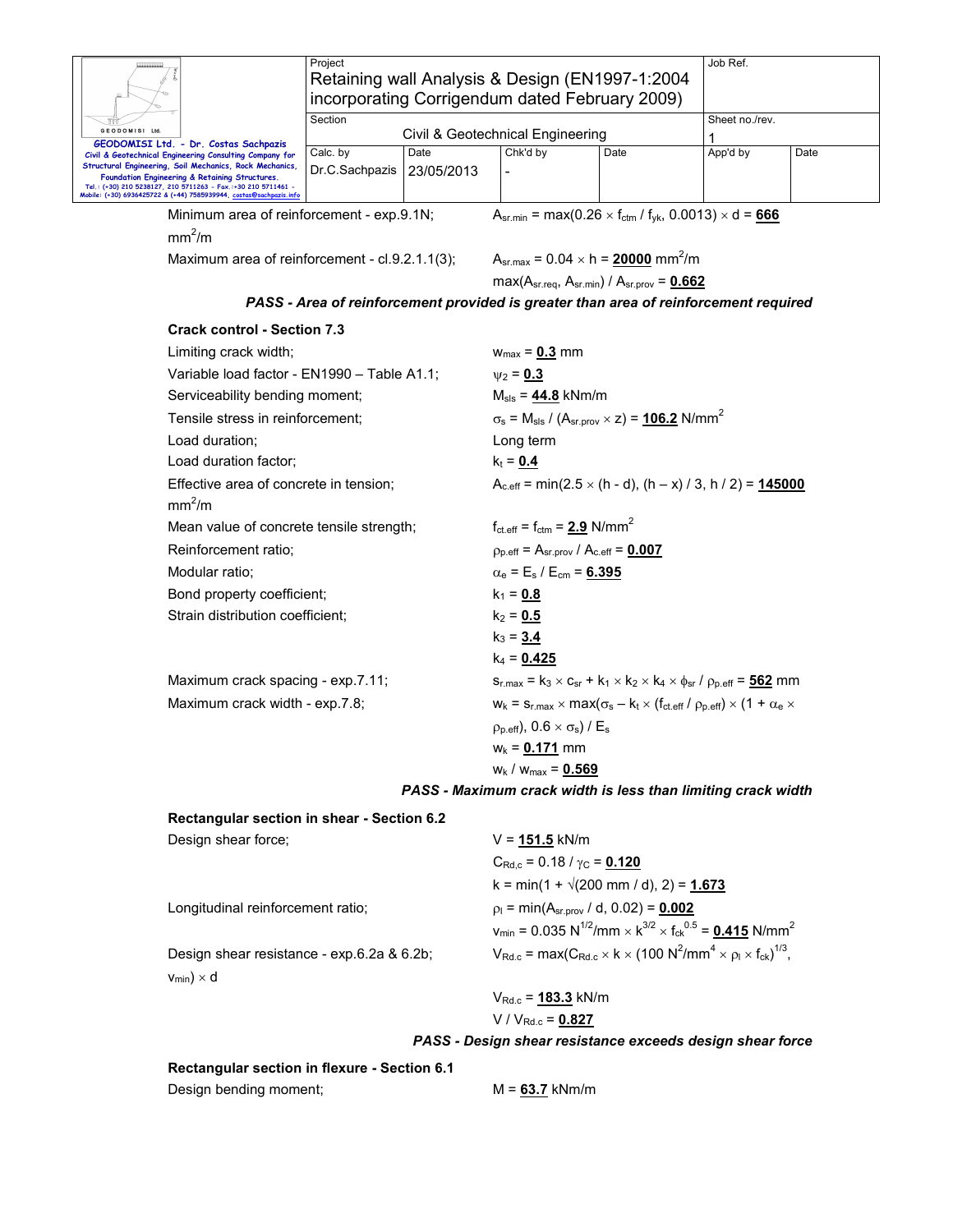|                                                                                                                                                                                                                                                                                                                                                             | Project                                |                    | incorporating Corrigendum dated February 2009)                     | Retaining wall Analysis & Design (EN1997-1:2004                                                                                                                                         | Job Ref.       |      |  |  |
|-------------------------------------------------------------------------------------------------------------------------------------------------------------------------------------------------------------------------------------------------------------------------------------------------------------------------------------------------------------|----------------------------------------|--------------------|--------------------------------------------------------------------|-----------------------------------------------------------------------------------------------------------------------------------------------------------------------------------------|----------------|------|--|--|
| GEODOMISI Ltd.                                                                                                                                                                                                                                                                                                                                              | Section                                |                    | Civil & Geotechnical Engineering                                   |                                                                                                                                                                                         | Sheet no./rev. |      |  |  |
| GEODOMISI Ltd. - Dr. Costas Sachpazis<br>Civil & Geotechnical Engineering Consulting Company for<br>Structural Engineering, Soil Mechanics, Rock Mechanics,<br>Foundation Engineering & Retaining Structures.<br>Tel.: (+30) 210 5238127, 210 5711263 - Fax.:+30 210 5711461 -<br>Mobile: (+30) 6936425722 & (+44) 7585939944, <u>costas@sachpazis.info</u> | Calc. by<br>Dr.C.Sachpazis             | Date<br>23/05/2013 | Chk'd by                                                           | Date                                                                                                                                                                                    | 1<br>App'd by  | Date |  |  |
| Minimum area of reinforcement - exp.9.1N;                                                                                                                                                                                                                                                                                                                   |                                        |                    |                                                                    | $A_{sr,min} = max(0.26 \times f_{ctm} / f_{yk}, 0.0013) \times d = 666$                                                                                                                 |                |      |  |  |
| mm <sup>2</sup> /m                                                                                                                                                                                                                                                                                                                                          |                                        |                    |                                                                    |                                                                                                                                                                                         |                |      |  |  |
| Maximum area of reinforcement - cl.9.2.1.1(3);                                                                                                                                                                                                                                                                                                              |                                        |                    |                                                                    | $A_{sr,max} = 0.04 \times h = 20000$ mm <sup>2</sup> /m<br>$max(A_{sr.read}, A_{sr.min}) / A_{sr.prov} = 0.662$                                                                         |                |      |  |  |
|                                                                                                                                                                                                                                                                                                                                                             |                                        |                    |                                                                    | PASS - Area of reinforcement provided is greater than area of reinforcement required                                                                                                    |                |      |  |  |
| <b>Crack control - Section 7.3</b>                                                                                                                                                                                                                                                                                                                          |                                        |                    |                                                                    |                                                                                                                                                                                         |                |      |  |  |
| Limiting crack width;                                                                                                                                                                                                                                                                                                                                       |                                        |                    | $w_{max} = 0.3$ mm                                                 |                                                                                                                                                                                         |                |      |  |  |
| Variable load factor - EN1990 - Table A1.1;                                                                                                                                                                                                                                                                                                                 |                                        |                    | $\psi_2 = 0.3$                                                     |                                                                                                                                                                                         |                |      |  |  |
| Serviceability bending moment;                                                                                                                                                                                                                                                                                                                              |                                        |                    | $M_{\rm sls} = 44.8$ kNm/m                                         |                                                                                                                                                                                         |                |      |  |  |
|                                                                                                                                                                                                                                                                                                                                                             | Tensile stress in reinforcement;       |                    |                                                                    | $\sigma_s$ = M <sub>sls</sub> / (A <sub>sr.prov</sub> × z) = <b>106.2</b> N/mm <sup>2</sup>                                                                                             |                |      |  |  |
| Load duration;                                                                                                                                                                                                                                                                                                                                              |                                        |                    | Long term                                                          |                                                                                                                                                                                         |                |      |  |  |
|                                                                                                                                                                                                                                                                                                                                                             | Load duration factor;                  |                    |                                                                    |                                                                                                                                                                                         |                |      |  |  |
| mm <sup>2</sup> /m                                                                                                                                                                                                                                                                                                                                          | Effective area of concrete in tension; |                    | $A_{c,eff}$ = min(2.5 × (h - d), (h – x) / 3, h / 2) = 145000      |                                                                                                                                                                                         |                |      |  |  |
| Mean value of concrete tensile strength;                                                                                                                                                                                                                                                                                                                    |                                        |                    | $f_{\text{ct.eff}} = f_{\text{ctm}} = 2.9$ N/mm <sup>2</sup>       |                                                                                                                                                                                         |                |      |  |  |
| Reinforcement ratio;                                                                                                                                                                                                                                                                                                                                        |                                        |                    | $\rho_{p.eff}$ = A <sub>sr.prov</sub> / A <sub>c.eff</sub> = 0.007 |                                                                                                                                                                                         |                |      |  |  |
| Modular ratio;                                                                                                                                                                                                                                                                                                                                              |                                        |                    | $\alpha_{\rm e}$ = E <sub>s</sub> / E <sub>cm</sub> = 6.395        |                                                                                                                                                                                         |                |      |  |  |
| Bond property coefficient;                                                                                                                                                                                                                                                                                                                                  |                                        |                    | $k_1 = 0.8$                                                        |                                                                                                                                                                                         |                |      |  |  |
| Strain distribution coefficient;                                                                                                                                                                                                                                                                                                                            |                                        |                    | $k_2 = 0.5$                                                        |                                                                                                                                                                                         |                |      |  |  |
|                                                                                                                                                                                                                                                                                                                                                             |                                        |                    | $k_3 = 3.4$                                                        |                                                                                                                                                                                         |                |      |  |  |
|                                                                                                                                                                                                                                                                                                                                                             |                                        |                    | $k_4 = 0.425$                                                      |                                                                                                                                                                                         |                |      |  |  |
| Maximum crack spacing - exp.7.11;                                                                                                                                                                                                                                                                                                                           |                                        |                    |                                                                    | $s_{r,max} = k_3 \times c_{sr} + k_1 \times k_2 \times k_4 \times \phi_{sr} / \rho_{p,eff} = 562$ mm                                                                                    |                |      |  |  |
| Maximum crack width - exp.7.8;                                                                                                                                                                                                                                                                                                                              |                                        |                    |                                                                    | $W_k = S_{r, max} \times max(\sigma_s - k_t \times (f_{ct, eff} / \rho_{p, eff}) \times (1 + \alpha_e \times$                                                                           |                |      |  |  |
|                                                                                                                                                                                                                                                                                                                                                             |                                        |                    | $\rho_{p.eff}$ ), 0.6 $\times \sigma_s$ ) / E <sub>s</sub>         |                                                                                                                                                                                         |                |      |  |  |
|                                                                                                                                                                                                                                                                                                                                                             |                                        |                    | $w_k = 0.171$ mm                                                   |                                                                                                                                                                                         |                |      |  |  |
|                                                                                                                                                                                                                                                                                                                                                             |                                        |                    | $w_k / w_{max} = 0.569$                                            |                                                                                                                                                                                         |                |      |  |  |
|                                                                                                                                                                                                                                                                                                                                                             |                                        |                    |                                                                    | PASS - Maximum crack width is less than limiting crack width                                                                                                                            |                |      |  |  |
| Rectangular section in shear - Section 6.2                                                                                                                                                                                                                                                                                                                  |                                        |                    |                                                                    |                                                                                                                                                                                         |                |      |  |  |
| Design shear force;                                                                                                                                                                                                                                                                                                                                         |                                        |                    | $V = 151.5$ kN/m                                                   |                                                                                                                                                                                         |                |      |  |  |
|                                                                                                                                                                                                                                                                                                                                                             |                                        |                    | $C_{\text{Rd},c}$ = 0.18 / $\gamma_{\text{C}}$ = 0.120             |                                                                                                                                                                                         |                |      |  |  |
|                                                                                                                                                                                                                                                                                                                                                             |                                        |                    |                                                                    | k = min(1 + $\sqrt{200 \text{ mm}}$ / d), 2) = 1.673                                                                                                                                    |                |      |  |  |
| Longitudinal reinforcement ratio;                                                                                                                                                                                                                                                                                                                           |                                        |                    |                                                                    | $p_1 = min(A_{sr.prov} / d, 0.02) = 0.002$<br>$v_{min}$ = 0.035 N <sup>1/2</sup> /mm $\times$ k <sup>3/2</sup> $\times$ f <sub>ck</sub> <sup>0.5</sup> = <b>0.415</b> N/mm <sup>2</sup> |                |      |  |  |
| Design shear resistance - exp.6.2a & 6.2b;<br>$V_{min}$ ) × d                                                                                                                                                                                                                                                                                               |                                        |                    |                                                                    | $V_{\text{Rd.c}} = \max(C_{\text{Rd.c}} \times k \times (100 \text{ N}^2/\text{mm}^4 \times \rho_l \times f_{\text{ck}})^{1/3},$                                                        |                |      |  |  |

VRd.c = **183.3** kN/m V / VRd.c = **0.827**

*PASS - Design shear resistance exceeds design shear force* 

**Rectangular section in flexure - Section 6.1** 

Design bending moment; M = 63.7 kNm/m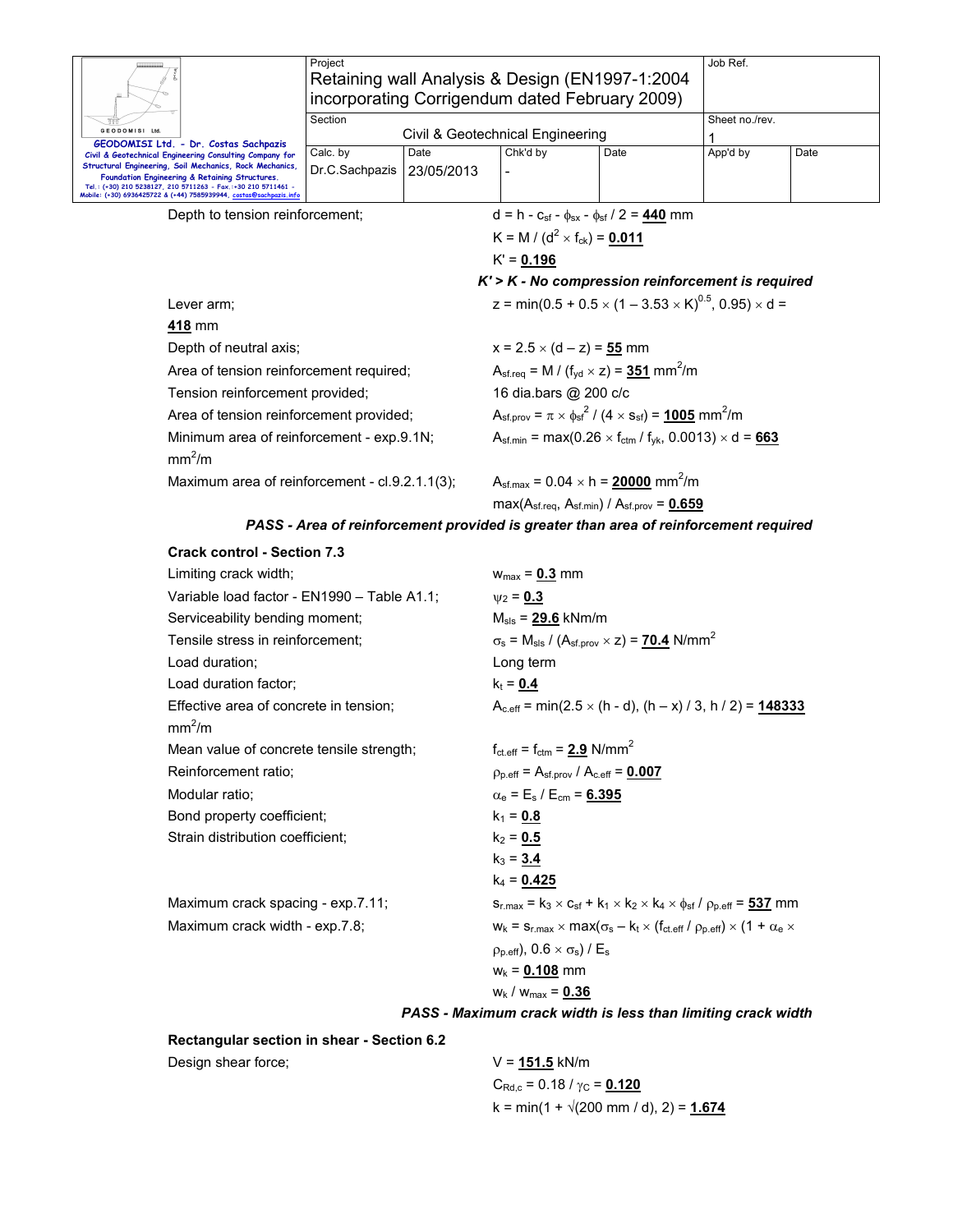| Project                                                                   |                            | Job Ref.                                                                                                                                                   |                                                                                               |                                                                                                                                                                                                              |                                                                                                  |  |  |  |  |
|---------------------------------------------------------------------------|----------------------------|------------------------------------------------------------------------------------------------------------------------------------------------------------|-----------------------------------------------------------------------------------------------|--------------------------------------------------------------------------------------------------------------------------------------------------------------------------------------------------------------|--------------------------------------------------------------------------------------------------|--|--|--|--|
|                                                                           |                            |                                                                                                                                                            |                                                                                               |                                                                                                                                                                                                              |                                                                                                  |  |  |  |  |
| Section                                                                   |                            |                                                                                                                                                            |                                                                                               | Sheet no./rev.                                                                                                                                                                                               |                                                                                                  |  |  |  |  |
|                                                                           |                            |                                                                                                                                                            |                                                                                               |                                                                                                                                                                                                              |                                                                                                  |  |  |  |  |
|                                                                           |                            |                                                                                                                                                            |                                                                                               |                                                                                                                                                                                                              | Date                                                                                             |  |  |  |  |
| Mobile: (+30) 6936425722 & (+44) 7585939944, <u>costas@sachpazis.info</u> |                            |                                                                                                                                                            |                                                                                               |                                                                                                                                                                                                              |                                                                                                  |  |  |  |  |
| Depth to tension reinforcement;                                           |                            |                                                                                                                                                            |                                                                                               | $d = h - c_{sf} - \phi_{sx} - \phi_{sf} / 2 = 440$ mm                                                                                                                                                        |                                                                                                  |  |  |  |  |
|                                                                           |                            |                                                                                                                                                            |                                                                                               |                                                                                                                                                                                                              |                                                                                                  |  |  |  |  |
|                                                                           |                            |                                                                                                                                                            |                                                                                               |                                                                                                                                                                                                              |                                                                                                  |  |  |  |  |
|                                                                           |                            | $K'$ > $K$ - No compression reinforcement is required                                                                                                      |                                                                                               |                                                                                                                                                                                                              |                                                                                                  |  |  |  |  |
|                                                                           |                            | z = min(0.5 + 0.5 $\times$ (1 – 3.53 $\times$ K) <sup>0.5</sup> , 0.95) $\times$ d =                                                                       |                                                                                               |                                                                                                                                                                                                              |                                                                                                  |  |  |  |  |
|                                                                           |                            |                                                                                                                                                            |                                                                                               |                                                                                                                                                                                                              |                                                                                                  |  |  |  |  |
| Depth of neutral axis;                                                    |                            | $x = 2.5 \times (d - z) = 55$ mm                                                                                                                           |                                                                                               |                                                                                                                                                                                                              |                                                                                                  |  |  |  |  |
|                                                                           |                            | $A_{\text{sf.req}} = M / (f_{\text{yd}} \times z) = 351 \text{ mm}^2/\text{m}$                                                                             |                                                                                               |                                                                                                                                                                                                              |                                                                                                  |  |  |  |  |
| Tension reinforcement provided;                                           |                            | 16 dia.bars @ 200 c/c                                                                                                                                      |                                                                                               |                                                                                                                                                                                                              |                                                                                                  |  |  |  |  |
|                                                                           |                            | $A_{\rm sf. prov} = \pi \times \phi_{\rm sf}^2 / (4 \times s_{\rm sf}) = 1005$ mm <sup>2</sup> /m                                                          |                                                                                               |                                                                                                                                                                                                              |                                                                                                  |  |  |  |  |
| Minimum area of reinforcement - exp.9.1N;<br>mm <sup>2</sup> /m           |                            |                                                                                                                                                            | $A_{\text{sf,min}} = \max(0.26 \times f_{\text{ctm}} / f_{\text{vk}}, 0.0013) \times d = 663$ |                                                                                                                                                                                                              |                                                                                                  |  |  |  |  |
|                                                                           |                            | $A_{\text{sf.max}} = 0.04 \times h = 20000 \text{ mm}^2/\text{m}$                                                                                          |                                                                                               |                                                                                                                                                                                                              |                                                                                                  |  |  |  |  |
|                                                                           |                            |                                                                                                                                                            | $max(Asf.read, Asf.min) / Asf.gov = 0.659$                                                    |                                                                                                                                                                                                              |                                                                                                  |  |  |  |  |
|                                                                           |                            |                                                                                                                                                            |                                                                                               |                                                                                                                                                                                                              |                                                                                                  |  |  |  |  |
| <b>Crack control - Section 7.3</b>                                        |                            |                                                                                                                                                            |                                                                                               |                                                                                                                                                                                                              |                                                                                                  |  |  |  |  |
|                                                                           |                            | $w_{\text{max}} = 0.3$ mm                                                                                                                                  |                                                                                               |                                                                                                                                                                                                              |                                                                                                  |  |  |  |  |
| Limiting crack width;<br>Variable load factor - EN1990 - Table A1.1;      |                            |                                                                                                                                                            | $v_2 = 0.3$                                                                                   |                                                                                                                                                                                                              |                                                                                                  |  |  |  |  |
|                                                                           | Calc. by<br>Dr.C.Sachpazis | Date<br>23/05/2013<br>Area of tension reinforcement required;<br>Area of tension reinforcement provided;<br>Maximum area of reinforcement - cl.9.2.1.1(3); | Chk'd by<br>$K' = 0.196$                                                                      | Retaining wall Analysis & Design (EN1997-1:2004)<br>incorporating Corrigendum dated February 2009)<br>Civil & Geotechnical Engineering<br>Date<br>K = M / (d <sup>2</sup> × f <sub>ck</sub> ) = <b>0.011</b> | App'd by<br>PASS - Area of reinforcement provided is greater than area of reinforcement required |  |  |  |  |

| Variable load factor - EN1990 - Table A1.1;                  | $v_2 = 0.3$                                                                                                                           |
|--------------------------------------------------------------|---------------------------------------------------------------------------------------------------------------------------------------|
| Serviceability bending moment;                               | $M_{\rm sls}$ = $29.6$ kNm/m                                                                                                          |
| Tensile stress in reinforcement;                             | $\sigma_s$ = M <sub>sls</sub> / (A <sub>sf.prov</sub> × z) = <b>70.4</b> N/mm <sup>2</sup>                                            |
| Load duration;                                               | Long term                                                                                                                             |
| Load duration factor;                                        | $k_t = 0.4$                                                                                                                           |
| Effective area of concrete in tension;<br>mm <sup>2</sup> /m | $A_{c,eff}$ = min(2.5 $\times$ (h - d), (h – x) / 3, h / 2) = <b>148333</b>                                                           |
| Mean value of concrete tensile strength;                     | $f_{\text{ct.eff}} = f_{\text{ctm}} = 2.9 \text{ N/mm}^2$                                                                             |
| Reinforcement ratio:                                         | $\rho_{\text{p,eff}} = A_{\text{sf.} \text{prov}} / A_{\text{c,eff}} = 0.007$                                                         |
| Modular ratio;                                               | $\alpha_e = E_s / E_{cm} = 6.395$                                                                                                     |
| Bond property coefficient;                                   | $k_1 = 0.8$                                                                                                                           |
| Strain distribution coefficient;                             | $k_2 = 0.5$                                                                                                                           |
|                                                              | $k_3 = 3.4$                                                                                                                           |
|                                                              | $k_4$ = 0.425                                                                                                                         |
| Maximum crack spacing - exp.7.11;                            | $s_{r,max} = k_3 \times c_{sf} + k_1 \times k_2 \times k_4 \times \phi_{sf} / \rho_{p,eff} = 537$ mm                                  |
| Maximum crack width - exp.7.8;                               | $w_k = s_{r,\text{max}} \times \text{max}(\sigma_s - k_t \times (f_{\text{ct.eff}}/ \rho_{p,\text{eff}}) \times (1 + \alpha_e \times$ |
|                                                              | $\rho_{p. eff}$ , 0.6 $\times \sigma_s$ ) / E <sub>s</sub>                                                                            |
|                                                              | $w_k = 0.108$ mm                                                                                                                      |
|                                                              | $W_k / W_{max} = 0.36$                                                                                                                |

*PASS - Maximum crack width is less than limiting crack width* 

**Rectangular section in shear - Section 6.2**  Design shear force;  $V = 151.5$  kN/m

 $C<sub>Rd,c</sub> = 0.18 / γ<sub>C</sub> = 0.120$  $k = min(1 + \sqrt{200 \text{ mm}/ d})$ , 2) =  $1.674$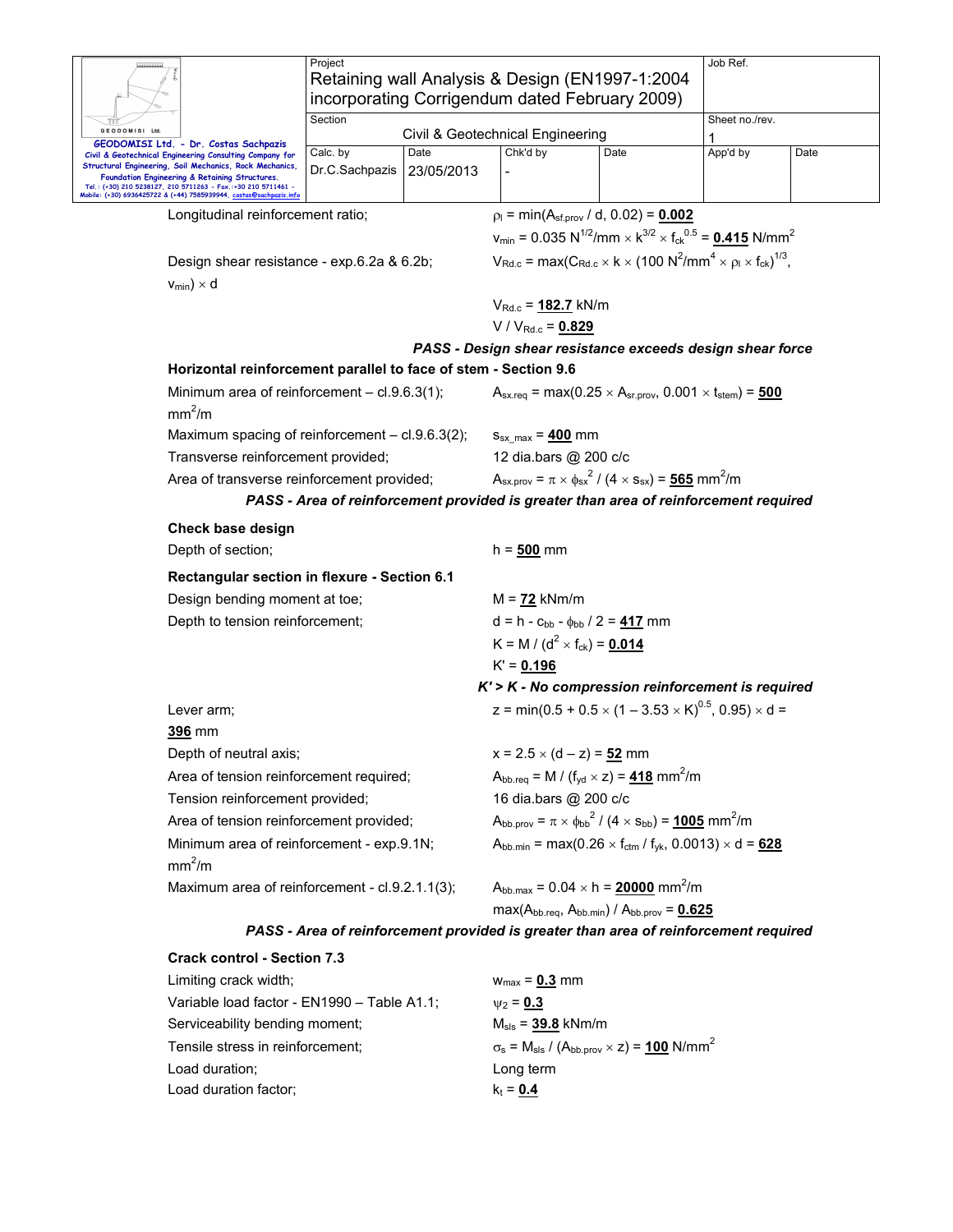|                |                                                                                                                                     | Project                                         |            |                                                                                                                                           |      | Job Ref.       |      |  |
|----------------|-------------------------------------------------------------------------------------------------------------------------------------|-------------------------------------------------|------------|-------------------------------------------------------------------------------------------------------------------------------------------|------|----------------|------|--|
|                |                                                                                                                                     | Retaining wall Analysis & Design (EN1997-1:2004 |            |                                                                                                                                           |      |                |      |  |
|                |                                                                                                                                     | incorporating Corrigendum dated February 2009)  |            |                                                                                                                                           |      |                |      |  |
|                |                                                                                                                                     | Section                                         |            |                                                                                                                                           |      | Sheet no./rev. |      |  |
| GEODOMISI Ltd. | Civil & Geotechnical Engineering<br>GEODOMISI Ltd. - Dr. Costas Sachpazis                                                           |                                                 |            |                                                                                                                                           |      |                |      |  |
|                | Civil & Geotechnical Engineering Consulting Company for                                                                             | Calc. by                                        | Date       | Chk'd by                                                                                                                                  | Date | App'd by       | Date |  |
|                | Structural Engineering, Soil Mechanics, Rock Mechanics,<br>Foundation Engineering & Retaining Structures.                           | Dr.C.Sachpazis                                  | 23/05/2013 |                                                                                                                                           |      |                |      |  |
|                | Tel.: (+30) 210 5238127, 210 5711263 - Fax.:+30 210 5711461 -<br>Mobile: (+30) 6936425722 & (+44) 7585939944, costas@sachpazis.info |                                                 |            |                                                                                                                                           |      |                |      |  |
|                | Longitudinal reinforcement ratio;                                                                                                   |                                                 |            | $p_1 = min(A_{sf.prov} / d, 0.02) = 0.002$                                                                                                |      |                |      |  |
|                |                                                                                                                                     |                                                 |            | $v_{min}$ = 0.035 N <sup>1/2</sup> /mm $\times$ k <sup>3/2</sup> $\times$ f <sub>ck</sub> <sup>0.5</sup> = <b>0.415</b> N/mm <sup>2</sup> |      |                |      |  |
|                | Design shear resistance - exp.6.2a & 6.2b;                                                                                          |                                                 |            | $V_{\text{Rd.c}} = \max(C_{\text{Rd.c}} \times k \times (100 \text{ N}^2/\text{mm}^4 \times \rho_l \times f_{\text{ck}})^{1/3},$          |      |                |      |  |
|                | $v_{min}$ ) × d                                                                                                                     |                                                 |            |                                                                                                                                           |      |                |      |  |
|                |                                                                                                                                     |                                                 |            | $V_{\text{Rd.c}} = 182.7 \text{ kN/m}$                                                                                                    |      |                |      |  |
|                |                                                                                                                                     |                                                 |            | $V/V_{Rd.c} = 0.829$                                                                                                                      |      |                |      |  |
|                |                                                                                                                                     |                                                 |            | PASS - Design shear resistance exceeds design shear force                                                                                 |      |                |      |  |
|                | Horizontal reinforcement parallel to face of stem - Section 9.6                                                                     |                                                 |            |                                                                                                                                           |      |                |      |  |
|                | Minimum area of reinforcement - cl.9.6.3(1);<br>mm <sup>2</sup> /m                                                                  |                                                 |            | $A_{\text{sx,req}} = \max(0.25 \times A_{\text{sr,prov}}, 0.001 \times t_{\text{stem}}) = 500$                                            |      |                |      |  |
|                | Maximum spacing of reinforcement - cl.9.6.3(2);                                                                                     |                                                 |            | $S_{\text{sx max}} = 400 \text{ mm}$                                                                                                      |      |                |      |  |
|                | Transverse reinforcement provided;                                                                                                  |                                                 |            | 12 dia.bars @ 200 c/c                                                                                                                     |      |                |      |  |
|                | Area of transverse reinforcement provided;                                                                                          |                                                 |            | $A_{sx. \text{orov}} = \pi \times \phi_{sx}^2 / (4 \times s_{sx}) = 565 \text{ mm}^2/\text{m}$                                            |      |                |      |  |
|                |                                                                                                                                     |                                                 |            | PASS - Area of reinforcement provided is greater than area of reinforcement required                                                      |      |                |      |  |
|                | Check base design                                                                                                                   |                                                 |            |                                                                                                                                           |      |                |      |  |
|                |                                                                                                                                     |                                                 |            | $h = 500$ mm                                                                                                                              |      |                |      |  |
|                | Depth of section;                                                                                                                   |                                                 |            |                                                                                                                                           |      |                |      |  |
|                | Rectangular section in flexure - Section 6.1                                                                                        |                                                 |            |                                                                                                                                           |      |                |      |  |
|                | Design bending moment at toe;                                                                                                       |                                                 |            | $M = 72$ kNm/m                                                                                                                            |      |                |      |  |
|                | Depth to tension reinforcement;                                                                                                     |                                                 |            | $d = h - c_{bb} - \phi_{bb} / 2 = 417$ mm                                                                                                 |      |                |      |  |
|                |                                                                                                                                     |                                                 |            | K = M / (d <sup>2</sup> × f <sub>ck</sub> ) = <u>0.014</u>                                                                                |      |                |      |  |
|                |                                                                                                                                     |                                                 |            | $K' = 0.196$                                                                                                                              |      |                |      |  |
|                |                                                                                                                                     |                                                 |            | $K'$ > $K$ - No compression reinforcement is required                                                                                     |      |                |      |  |
|                | Lever arm;                                                                                                                          |                                                 |            | z = min(0.5 + 0.5 $\times$ (1 – 3.53 $\times$ K) <sup>0.5</sup> , 0.95) $\times$ d =                                                      |      |                |      |  |
|                | 396 mm                                                                                                                              |                                                 |            |                                                                                                                                           |      |                |      |  |
|                | Depth of neutral axis;                                                                                                              |                                                 |            | $x = 2.5 \times (d - z) = 52$ mm                                                                                                          |      |                |      |  |
|                | Area of tension reinforcement required;                                                                                             |                                                 |            | $A_{\text{bb}.\text{req}} = M / (f_{\text{yd}} \times z) = 418 \text{ mm}^2/\text{m}$                                                     |      |                |      |  |
|                | Tension reinforcement provided;                                                                                                     |                                                 |            | 16 dia.bars @ 200 c/c                                                                                                                     |      |                |      |  |
|                | Area of tension reinforcement provided;                                                                                             |                                                 |            | $A_{\rm bb.prov} = \pi \times \phi_{\rm bb}{}^2 / (4 \times s_{\rm bb}) = 1005$ mm <sup>2</sup> /m                                        |      |                |      |  |
|                | Minimum area of reinforcement - exp.9.1N;                                                                                           |                                                 |            | $A_{bb,min}$ = max(0.26 $\times$ f <sub>ctm</sub> / f <sub>yk</sub> , 0.0013) $\times$ d = 628                                            |      |                |      |  |
|                | mm <sup>2</sup> /m                                                                                                                  |                                                 |            |                                                                                                                                           |      |                |      |  |
|                | Maximum area of reinforcement - cl.9.2.1.1(3);                                                                                      |                                                 |            | $A_{\text{bb.max}} = 0.04 \times h = 20000 \text{ mm}^2/m$                                                                                |      |                |      |  |
|                |                                                                                                                                     |                                                 |            | $max(A_{bb\cdot reg}, A_{bb\cdot min}) / A_{bb\cdot prov} = 0.625$                                                                        |      |                |      |  |
|                |                                                                                                                                     |                                                 |            | PASS - Area of reinforcement provided is greater than area of reinforcement required                                                      |      |                |      |  |
|                | <b>Crack control - Section 7.3</b>                                                                                                  |                                                 |            |                                                                                                                                           |      |                |      |  |
|                | Limiting crack width;                                                                                                               |                                                 |            | $w_{max} = 0.3$ mm                                                                                                                        |      |                |      |  |
|                | Variable load factor - EN1990 - Table A1.1;                                                                                         |                                                 |            | $\psi_2 = 0.3$                                                                                                                            |      |                |      |  |
|                | Serviceability bending moment;                                                                                                      |                                                 |            | $M_{\rm sls} = 39.8$ kNm/m                                                                                                                |      |                |      |  |
|                | Tensile stress in reinforcement;                                                                                                    |                                                 |            | $\sigma_s$ = M <sub>sls</sub> / (A <sub>bb.prov</sub> × z) = <u>100</u> N/mm <sup>2</sup>                                                 |      |                |      |  |
|                | Load duration;                                                                                                                      |                                                 |            | Long term                                                                                                                                 |      |                |      |  |
|                | Load duration factor;                                                                                                               |                                                 |            |                                                                                                                                           |      |                |      |  |
|                |                                                                                                                                     |                                                 |            | $k_t = 0.4$                                                                                                                               |      |                |      |  |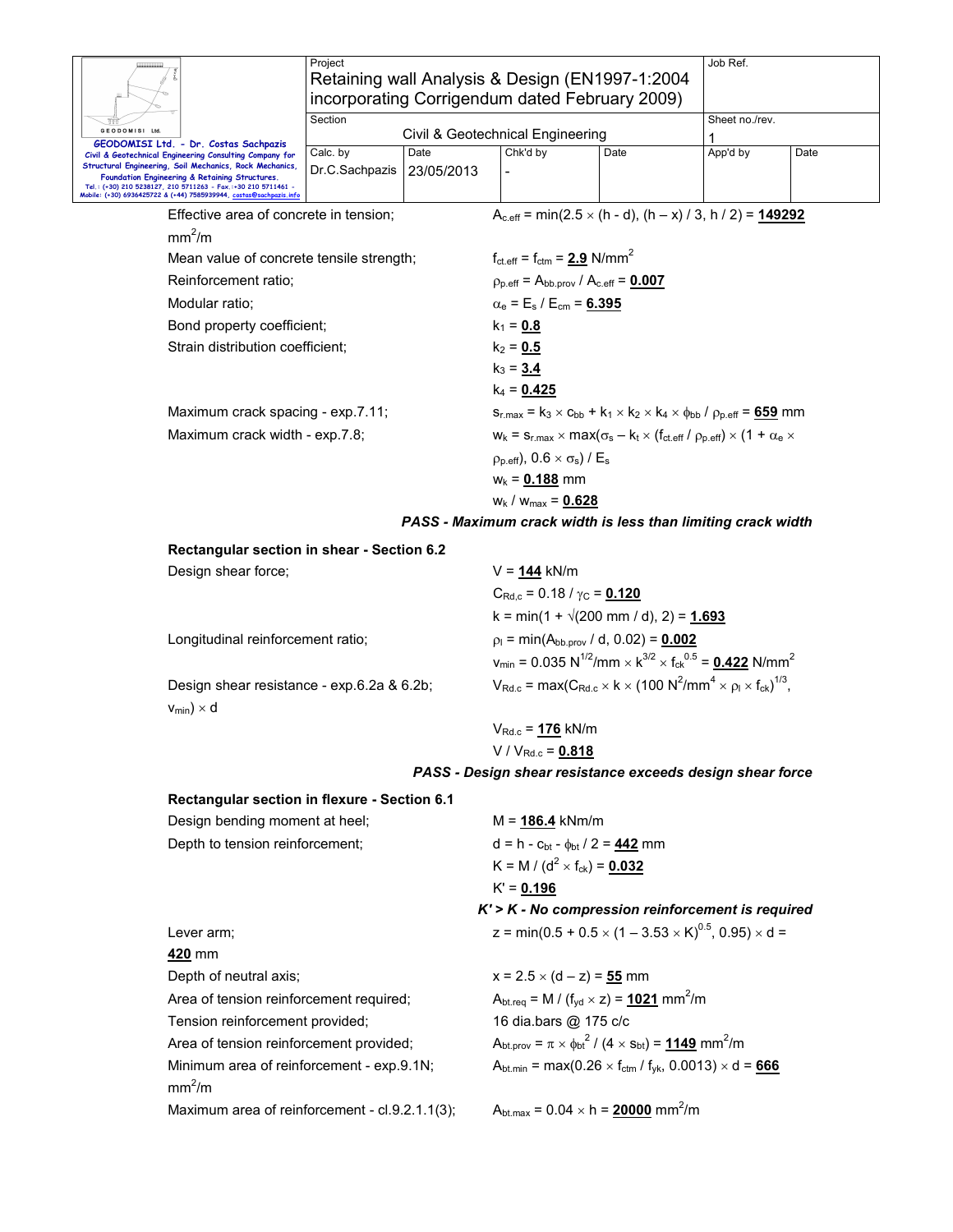|                                                                                                                                     | Project                                        |            | Retaining wall Analysis & Design (EN1997-1:2004                                                              |                                                                 | Job Ref.                                                                                                                                  |                |  |
|-------------------------------------------------------------------------------------------------------------------------------------|------------------------------------------------|------------|--------------------------------------------------------------------------------------------------------------|-----------------------------------------------------------------|-------------------------------------------------------------------------------------------------------------------------------------------|----------------|--|
|                                                                                                                                     | incorporating Corrigendum dated February 2009) |            |                                                                                                              |                                                                 |                                                                                                                                           |                |  |
| GEODOMISI Ltd.                                                                                                                      | Section                                        |            | Civil & Geotechnical Engineering                                                                             |                                                                 |                                                                                                                                           | Sheet no./rev. |  |
| GEODOMISI Ltd. - Dr. Costas Sachpazis<br>Civil & Geotechnical Engineering Consulting Company for                                    | Calc. by                                       | Date       | Chk'd by                                                                                                     | Date                                                            | 1<br>App'd by                                                                                                                             | Date           |  |
| Structural Engineering, Soil Mechanics, Rock Mechanics,<br>Foundation Engineering & Retaining Structures.                           | Dr.C.Sachpazis                                 | 23/05/2013 |                                                                                                              |                                                                 |                                                                                                                                           |                |  |
| Tel.: (+30) 210 5238127, 210 5711263 - Fax.:+30 210 5711461 -<br>Mobile: (+30) 6936425722 & (+44) 7585939944, costas@sachpazis.info |                                                |            |                                                                                                              |                                                                 |                                                                                                                                           |                |  |
| Effective area of concrete in tension;                                                                                              |                                                |            |                                                                                                              |                                                                 | $A_{c,eff}$ = min(2.5 $\times$ (h - d), (h – x) / 3, h / 2) = 149292                                                                      |                |  |
| mm <sup>2</sup> /m                                                                                                                  |                                                |            |                                                                                                              |                                                                 |                                                                                                                                           |                |  |
| Mean value of concrete tensile strength;                                                                                            |                                                |            | $f_{\text{ct.eff}} = f_{\text{ctm}} = 2.9 \text{ N/mm}^2$                                                    |                                                                 |                                                                                                                                           |                |  |
| Reinforcement ratio;                                                                                                                |                                                |            | $p_{p.eff} = A_{bb.prov} / A_{c.eff} = 0.007$                                                                |                                                                 |                                                                                                                                           |                |  |
| Modular ratio;                                                                                                                      |                                                |            | $\alpha_e = E_s / E_{cm} = 6.395$                                                                            |                                                                 |                                                                                                                                           |                |  |
| Bond property coefficient;                                                                                                          |                                                |            | $k_1 = 0.8$                                                                                                  |                                                                 |                                                                                                                                           |                |  |
| Strain distribution coefficient;                                                                                                    |                                                |            | $k_2 = 0.5$                                                                                                  |                                                                 |                                                                                                                                           |                |  |
|                                                                                                                                     |                                                |            | $k_3 = 3.4$                                                                                                  |                                                                 |                                                                                                                                           |                |  |
|                                                                                                                                     |                                                |            | $k_4$ = 0.425                                                                                                |                                                                 |                                                                                                                                           |                |  |
| Maximum crack spacing - exp.7.11;                                                                                                   |                                                |            |                                                                                                              |                                                                 | $S_{r,max} = k_3 \times C_{bb} + k_1 \times k_2 \times k_4 \times \phi_{bb} / \rho_{p,eff} = 659$ mm                                      |                |  |
| Maximum crack width - exp.7.8;                                                                                                      |                                                |            |                                                                                                              |                                                                 | $W_k = S_{r,max} \times max(\sigma_s - k_t \times (f_{ct.eff} / \rho_{p.eff}) \times (1 + \alpha_e \times$                                |                |  |
|                                                                                                                                     |                                                |            | $p_{p.eff}$ , 0.6 $\times \sigma_s$ ) / E <sub>s</sub>                                                       |                                                                 |                                                                                                                                           |                |  |
|                                                                                                                                     |                                                |            | $w_k = 0.188$ mm                                                                                             |                                                                 |                                                                                                                                           |                |  |
|                                                                                                                                     |                                                |            | $w_k / w_{max} = 0.628$                                                                                      |                                                                 |                                                                                                                                           |                |  |
|                                                                                                                                     |                                                |            |                                                                                                              |                                                                 | PASS - Maximum crack width is less than limiting crack width                                                                              |                |  |
| Rectangular section in shear - Section 6.2                                                                                          |                                                |            |                                                                                                              |                                                                 |                                                                                                                                           |                |  |
| Design shear force;                                                                                                                 |                                                |            | $V = 144$ kN/m                                                                                               |                                                                 |                                                                                                                                           |                |  |
|                                                                                                                                     |                                                |            |                                                                                                              | $C_{\text{Rd},c}$ = 0.18 / $\gamma_{\text{C}}$ = 0.120          |                                                                                                                                           |                |  |
|                                                                                                                                     |                                                |            |                                                                                                              | k = min(1 + $\sqrt{(200 \text{ mm } / \text{ d})}$ , 2) = 1.693 |                                                                                                                                           |                |  |
| Longitudinal reinforcement ratio;                                                                                                   |                                                |            | $p_1 = min(A_{bb.prov}/d, 0.02) = 0.002$                                                                     |                                                                 |                                                                                                                                           |                |  |
|                                                                                                                                     |                                                |            |                                                                                                              |                                                                 | $v_{min}$ = 0.035 N <sup>1/2</sup> /mm $\times$ k <sup>3/2</sup> $\times$ f <sub>ck</sub> <sup>0.5</sup> = <b>0.422</b> N/mm <sup>2</sup> |                |  |
| Design shear resistance - exp.6.2a & 6.2b;                                                                                          |                                                |            |                                                                                                              |                                                                 | $V_{\text{Rd.c}} = \max(C_{\text{Rd.c}} \times k \times (100 \text{ N}^2/\text{mm}^4 \times \rho_1 \times f_{\text{ck}})^{1/3},$          |                |  |
| $v_{min}$ ) × d                                                                                                                     |                                                |            |                                                                                                              |                                                                 |                                                                                                                                           |                |  |
|                                                                                                                                     |                                                |            | $V_{Rd.c}$ = 176 kN/m                                                                                        |                                                                 |                                                                                                                                           |                |  |
|                                                                                                                                     |                                                |            | $V / V_{Rd.c} = 0.818$                                                                                       |                                                                 |                                                                                                                                           |                |  |
|                                                                                                                                     |                                                |            |                                                                                                              |                                                                 | PASS - Design shear resistance exceeds design shear force                                                                                 |                |  |
| Rectangular section in flexure - Section 6.1                                                                                        |                                                |            |                                                                                                              |                                                                 |                                                                                                                                           |                |  |
| Design bending moment at heel;                                                                                                      |                                                |            | $M = 186.4$ kNm/m                                                                                            |                                                                 |                                                                                                                                           |                |  |
| Depth to tension reinforcement;                                                                                                     |                                                |            | $d = h - c_{bt} - \phi_{bt} / 2 = 442$ mm                                                                    |                                                                 |                                                                                                                                           |                |  |
|                                                                                                                                     |                                                |            | K = M / (d <sup>2</sup> × f <sub>ck</sub> ) = <u>0.032</u>                                                   |                                                                 |                                                                                                                                           |                |  |
|                                                                                                                                     |                                                |            | $K' = 0.196$                                                                                                 |                                                                 |                                                                                                                                           |                |  |
|                                                                                                                                     |                                                |            | K' > K - No compression reinforcement is required                                                            |                                                                 |                                                                                                                                           |                |  |
| Lever arm;                                                                                                                          |                                                |            |                                                                                                              |                                                                 | z = min(0.5 + 0.5 $\times$ (1 – 3.53 $\times$ K) <sup>0.5</sup> , 0.95) $\times$ d =                                                      |                |  |
| 420 mm                                                                                                                              |                                                |            |                                                                                                              |                                                                 |                                                                                                                                           |                |  |
| Depth of neutral axis;                                                                                                              |                                                |            | $x = 2.5 \times (d - z) = 55$ mm                                                                             |                                                                 |                                                                                                                                           |                |  |
| Area of tension reinforcement required;                                                                                             |                                                |            | $A_{\text{btreq}} = M / (f_{\text{yd}} \times z) = 1021 \text{ mm}^2/\text{m}$                               |                                                                 |                                                                                                                                           |                |  |
| Tension reinforcement provided;                                                                                                     |                                                |            | 16 dia.bars @ 175 c/c                                                                                        |                                                                 |                                                                                                                                           |                |  |
| Area of tension reinforcement provided;                                                                                             |                                                |            | $A_{\text{bt.prov}} = \pi \times \phi_{\text{bt}}^2 / (4 \times s_{\text{bt}}) = 1149 \text{ mm}^2/\text{m}$ |                                                                 |                                                                                                                                           |                |  |
| Minimum area of reinforcement - exp.9.1N;<br>mm <sup>2</sup> /m                                                                     |                                                |            |                                                                                                              |                                                                 | $A_{\text{bt.min}} = \max(0.26 \times f_{\text{ctm}} / f_{\text{yk}}, 0.0013) \times d = 666$                                             |                |  |
| Maximum area of reinforcement - cl.9.2.1.1(3);                                                                                      |                                                |            | $A_{\text{bt.max}} = 0.04 \times h = 20000 \text{ mm}^2/m$                                                   |                                                                 |                                                                                                                                           |                |  |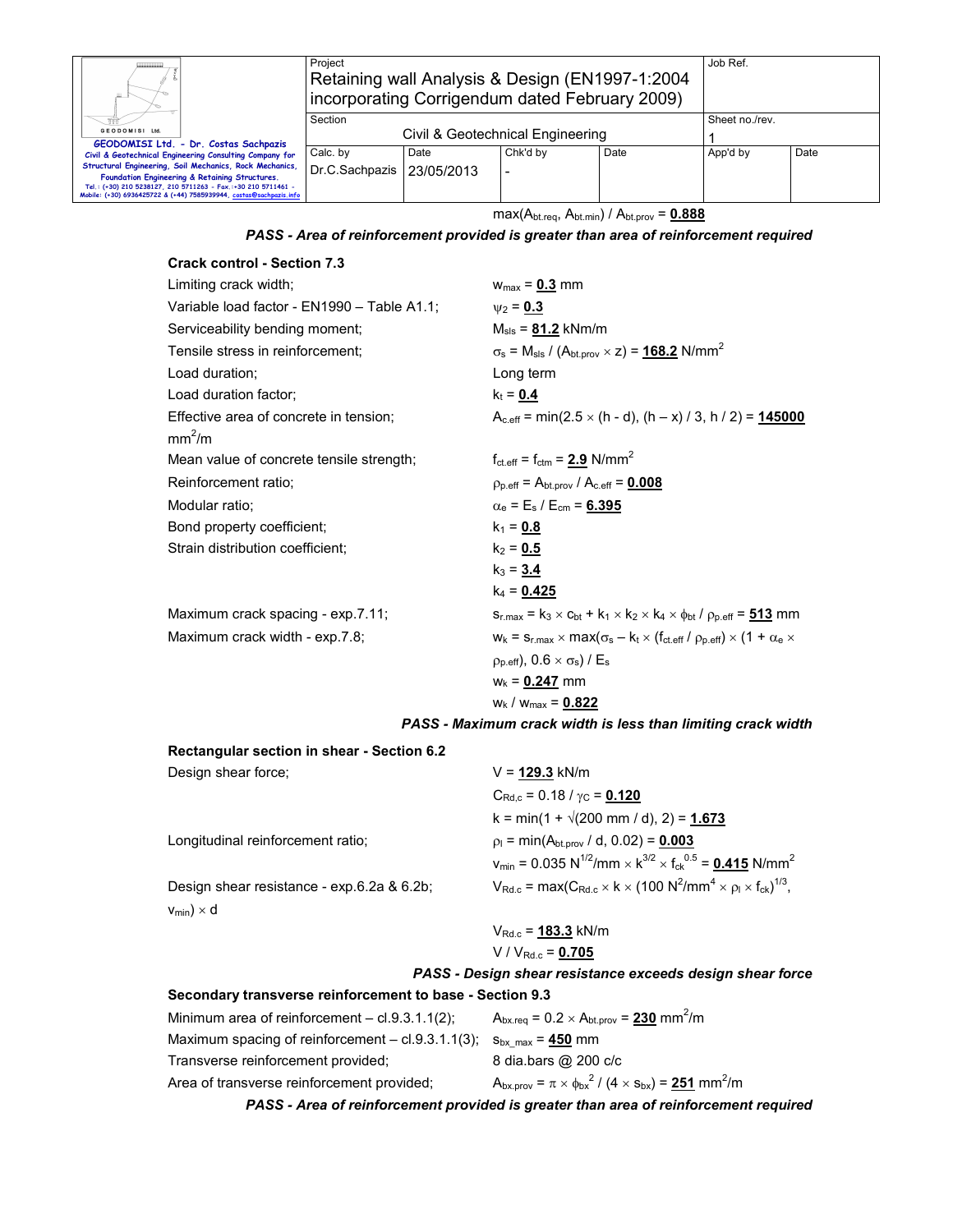| Ш.                                                                                                                                                                                                                                               | Project                          | Retaining wall Analysis & Design (EN1997-1:2004)<br>incorporating Corrigendum dated February 2009) |          |      |  | Job Ref.       |  |
|--------------------------------------------------------------------------------------------------------------------------------------------------------------------------------------------------------------------------------------------------|----------------------------------|----------------------------------------------------------------------------------------------------|----------|------|--|----------------|--|
|                                                                                                                                                                                                                                                  | Section                          |                                                                                                    |          |      |  | Sheet no./rev. |  |
| GEODOMISI Ltd.<br>GEODOMISI Ltd. - Dr. Costas Sachpazis                                                                                                                                                                                          | Civil & Geotechnical Engineering |                                                                                                    |          |      |  |                |  |
| Civil & Geotechnical Engineering Consulting Company for                                                                                                                                                                                          | Calc. by                         | Date                                                                                               | App'd by | Date |  |                |  |
| Structural Engineering, Soil Mechanics, Rock Mechanics,<br>Foundation Engineering & Retaining Structures.<br>Tel.: (+30) 210 5238127, 210 5711263 - Fax.:+30 210 5711461 -<br>Mobile: (+30) 6936425722 & (+44) 7585939944, costas@sachpazis.info | Dr.C.Sachpazis   23/05/2013      |                                                                                                    |          |      |  |                |  |

max(Abt.req, Abt.min) / Abt.prov = **0.888**

*PASS - Area of reinforcement provided is greater than area of reinforcement required* 

| <b>Crack control - Section 7.3</b>          |                                                                                                                                       |
|---------------------------------------------|---------------------------------------------------------------------------------------------------------------------------------------|
| Limiting crack width;                       | $w_{max} = 0.3$ mm                                                                                                                    |
| Variable load factor - EN1990 - Table A1.1; | $v_2 = 0.3$                                                                                                                           |
| Serviceability bending moment;              | $M_{\rm sls} = 81.2$ kNm/m                                                                                                            |
| Tensile stress in reinforcement:            | $\sigma_s$ = M <sub>sls</sub> / (A <sub>bt.prov</sub> × z) = <u>168.2</u> N/mm <sup>2</sup>                                           |
| Load duration:                              | Long term                                                                                                                             |
| Load duration factor;                       | $k_t = 0.4$                                                                                                                           |
| Effective area of concrete in tension;      | $A_{c,eff}$ = min(2.5 $\times$ (h - d), (h – x) / 3, h / 2) = 145000                                                                  |
| mm <sup>2</sup> /m                          |                                                                                                                                       |
| Mean value of concrete tensile strength;    | $f_{\text{ct.eff}} = f_{\text{ctm}} = 2.9 \text{ N/mm}^2$                                                                             |
| Reinforcement ratio;                        | $p_{p.eff} = A_{bt.prov} / A_{c.eff} = 0.008$                                                                                         |
| Modular ratio;                              | $\alpha_{\rm e}$ = E <sub>s</sub> / E <sub>cm</sub> = 6.395                                                                           |
| Bond property coefficient;                  | $k_1 = 0.8$                                                                                                                           |
| Strain distribution coefficient;            | $k_2 = 0.5$                                                                                                                           |
|                                             | $k_3 = 3.4$                                                                                                                           |
|                                             | $k_4$ = 0.425                                                                                                                         |
| Maximum crack spacing - exp.7.11;           | $S_{r,max} = k_3 \times c_{bt} + k_1 \times k_2 \times k_4 \times \phi_{bt}$ / $\rho_{p,eff} = 513$ mm                                |
| Maximum crack width - exp.7.8;              | $W_k = S_{r,\text{max}} \times \text{max}(\sigma_s - k_t \times (f_{\text{ct.eff}}/ \rho_{p,\text{eff}}) \times (1 + \alpha_e \times$ |
|                                             | $\rho_{p.eff}$ ), 0.6 $\times \sigma_s$ ) / E <sub>s</sub>                                                                            |
|                                             | $w_k = 0.247$ mm                                                                                                                      |
|                                             | $W_k$ / $W_{max}$ = 0.822                                                                                                             |

*PASS - Maximum crack width is less than limiting crack width* 

| Rectangular section in shear - Section 6.2 |                                                                                                                                   |
|--------------------------------------------|-----------------------------------------------------------------------------------------------------------------------------------|
| Design shear force;                        | $V = 129.3$ kN/m                                                                                                                  |
|                                            | $C_{\text{Rd.c}}$ = 0.18 / $\gamma_C$ = 0.120                                                                                     |
|                                            | k = min(1 + $\sqrt{(200 \text{ mm } / \text{ d})}$ , 2) = 1.673                                                                   |
| Longitudinal reinforcement ratio;          | $\rho_1$ = min(A <sub>bt.prov</sub> / d, 0.02) = <b>0.003</b>                                                                     |
|                                            | $v_{\text{min}} = 0.035 \text{ N}^{1/2}/\text{mm} \times \text{K}^{3/2} \times \text{f}_{\text{ck}}^{0.5} = 0.415 \text{ N/mm}^2$ |
| Design shear resistance - exp.6.2a & 6.2b; | $V_{\text{Rd.c}} = \max(C_{\text{Rd.c}} \times k \times (100 \text{ N}^2/\text{mm}^4 \times \rho_l \times f_{\text{ck}})^{1/3},$  |
| $v_{min}$ ) $\times$ d                     |                                                                                                                                   |
|                                            | $V_{Rd,c}$ = 183.3 kN/m                                                                                                           |
|                                            | V / $V_{Rd,c}$ = 0.705                                                                                                            |
|                                            | PASS - Design shear resistance exceeds design shear force                                                                         |

**Secondary transverse reinforcement to base - Section 9.3** 

| <u>secondary transfersion remiered including to water seconditions</u> |                                                                                      |
|------------------------------------------------------------------------|--------------------------------------------------------------------------------------|
| Minimum area of reinforcement $-$ cl.9.3.1.1(2);                       | $A_{bx,req} = 0.2 \times A_{bt,prov} = 230$ mm <sup>2</sup> /m                       |
| Maximum spacing of reinforcement $-$ cl.9.3.1.1(3);                    | $S_{\text{bx max}}$ = $450$ mm                                                       |
| Transverse reinforcement provided;                                     | 8 dia.bars @ 200 c/c                                                                 |
| Area of transverse reinforcement provided;                             | $A_{bx,prov} = \pi \times \phi_{bx}^2 / (4 \times s_{bx}) = 251$ mm <sup>2</sup> /m  |
|                                                                        | PASS - Area of reinforcement provided is greater than area of reinforcement required |
|                                                                        |                                                                                      |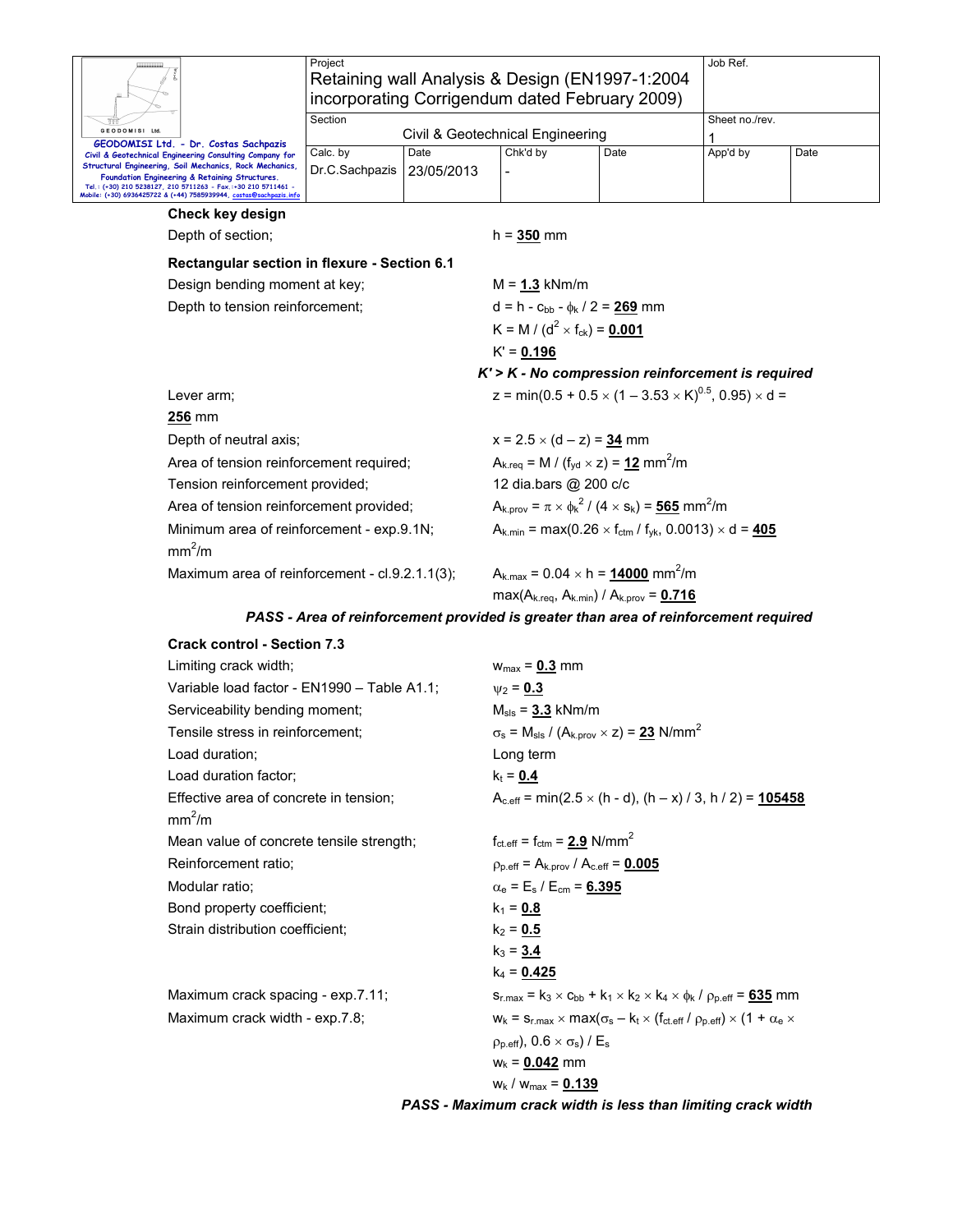| GEODOMISI Ltd.                                                                                                                                                                                                                                                                                                                                       | Project<br>Retaining wall Analysis & Design (EN1997-1:2004<br>incorporating Corrigendum dated February 2009)<br>Section | Civil & Geotechnical Engineering       | Job Ref.<br>Sheet no./rev.                                                                              |      |          |      |  |  |
|------------------------------------------------------------------------------------------------------------------------------------------------------------------------------------------------------------------------------------------------------------------------------------------------------------------------------------------------------|-------------------------------------------------------------------------------------------------------------------------|----------------------------------------|---------------------------------------------------------------------------------------------------------|------|----------|------|--|--|
| GEODOMISI Ltd. - Dr. Costas Sachpazis<br>Civil & Geotechnical Engineering Consulting Company for<br>Structural Engineering, Soil Mechanics, Rock Mechanics,<br>Foundation Engineering & Retaining Structures.<br>Tel.: (+30) 210 5238127, 210 5711263 - Fax.:+30 210 5711461 -<br>Mobile: (+30) 6936425722 & (+44) 7585939944, costas@sachpazis.info | Calc. by<br>Dr.C.Sachpazis                                                                                              | Date<br>23/05/2013                     | Chk'd by                                                                                                | Date | App'd by | Date |  |  |
| Check key design                                                                                                                                                                                                                                                                                                                                     |                                                                                                                         |                                        |                                                                                                         |      |          |      |  |  |
| Depth of section;                                                                                                                                                                                                                                                                                                                                    |                                                                                                                         |                                        | $h = 350$ mm                                                                                            |      |          |      |  |  |
| Rectangular section in flexure - Section 6.1                                                                                                                                                                                                                                                                                                         |                                                                                                                         |                                        |                                                                                                         |      |          |      |  |  |
| Design bending moment at key;                                                                                                                                                                                                                                                                                                                        |                                                                                                                         |                                        | $M = 1.3$ kNm/m                                                                                         |      |          |      |  |  |
| Depth to tension reinforcement;                                                                                                                                                                                                                                                                                                                      |                                                                                                                         | $d = h - c_{bb} - \phi_k / 2 = 269$ mm |                                                                                                         |      |          |      |  |  |
|                                                                                                                                                                                                                                                                                                                                                      |                                                                                                                         |                                        | K = M / ( $d^2$ × f <sub>ck</sub> ) = 0.001                                                             |      |          |      |  |  |
|                                                                                                                                                                                                                                                                                                                                                      |                                                                                                                         |                                        | $K' = 0.196$                                                                                            |      |          |      |  |  |
|                                                                                                                                                                                                                                                                                                                                                      |                                                                                                                         |                                        | $K'$ > $K$ - No compression reinforcement is required                                                   |      |          |      |  |  |
| Lever arm;                                                                                                                                                                                                                                                                                                                                           |                                                                                                                         |                                        | z = min(0.5 + 0.5 $\times$ (1 – 3.53 $\times$ K) <sup>0.5</sup> , 0.95) $\times$ d =                    |      |          |      |  |  |
| <b>256 mm</b>                                                                                                                                                                                                                                                                                                                                        |                                                                                                                         |                                        |                                                                                                         |      |          |      |  |  |
| Depth of neutral axis;                                                                                                                                                                                                                                                                                                                               |                                                                                                                         |                                        | $x = 2.5 \times (d - z) = 34$ mm                                                                        |      |          |      |  |  |
| Area of tension reinforcement required;                                                                                                                                                                                                                                                                                                              |                                                                                                                         |                                        | $A_{k,req} = M / (f_{vd} \times z) = 12$ mm <sup>2</sup> /m                                             |      |          |      |  |  |
| Tension reinforcement provided;                                                                                                                                                                                                                                                                                                                      |                                                                                                                         |                                        | 12 dia.bars @ 200 c/c                                                                                   |      |          |      |  |  |
| Area of tension reinforcement provided;                                                                                                                                                                                                                                                                                                              |                                                                                                                         |                                        | $A_{k.prov} = \pi \times \phi_k^2 / (4 \times s_k) = 565$ mm <sup>2</sup> /m                            |      |          |      |  |  |
| Minimum area of reinforcement - exp.9.1N;<br>mm <sup>2</sup> /m                                                                                                                                                                                                                                                                                      |                                                                                                                         |                                        | $A_{k,min}$ = max(0.26 $\times$ f <sub>ctm</sub> / f <sub>vk</sub> , 0.0013) $\times$ d = 405           |      |          |      |  |  |
| Maximum area of reinforcement - cl.9.2.1.1(3);                                                                                                                                                                                                                                                                                                       |                                                                                                                         |                                        | $A_{k,max} = 0.04 \times h = 14000$ mm <sup>2</sup> /m<br>$max(A_{k.read}, A_{k.min}) / A_{k } = 0.716$ |      |          |      |  |  |

#### *PASS - Area of reinforcement provided is greater than area of reinforcement required*

| <b>Crack control - Section 7.3</b>          |                                                                                                                                   |
|---------------------------------------------|-----------------------------------------------------------------------------------------------------------------------------------|
| Limiting crack width;                       | $w_{max} = 0.3$ mm                                                                                                                |
| Variable load factor - EN1990 - Table A1.1; | $W_2 = 0.3$                                                                                                                       |
| Serviceability bending moment;              | $M_{\rm sls}$ = $3.3$ kNm/m                                                                                                       |
| Tensile stress in reinforcement;            | $\sigma_s$ = M <sub>sls</sub> / (A <sub>k.prov</sub> × z) = 23 N/mm <sup>2</sup>                                                  |
| Load duration:                              | Long term                                                                                                                         |
| Load duration factor;                       | $k_t = 0.4$                                                                                                                       |
| Effective area of concrete in tension;      | $A_{c,eff}$ = min(2.5 $\times$ (h - d), (h – x) / 3, h / 2) = 105458                                                              |
| mm <sup>2</sup> /m                          |                                                                                                                                   |
| Mean value of concrete tensile strength;    | $f_{\text{ct.eff}} = f_{\text{ctm}} = 2.9 \text{ N/mm}^2$                                                                         |
| Reinforcement ratio;                        | $p_{p.eff} = A_{k.prov} / A_{c.eff} = 0.005$                                                                                      |
| Modular ratio:                              | $\alpha_e = E_s / E_{cm} = 6.395$                                                                                                 |
| Bond property coefficient;                  | $k_1 = 0.8$                                                                                                                       |
| Strain distribution coefficient:            | $k_2 = 0.5$                                                                                                                       |
|                                             | $k_3 = 3.4$                                                                                                                       |
|                                             | $k_4$ = 0.425                                                                                                                     |
| Maximum crack spacing - exp.7.11;           | $s_{r,max} = k_3 \times c_{bb} + k_1 \times k_2 \times k_4 \times \phi_k / \rho_{p,eff} = 635$ mm                                 |
| Maximum crack width - exp.7.8;              | $w_k = s_{r,\text{max}} \times \text{max}(\sigma_s - k_t \times (f_{\text{ct.eff}}/p_{p,\text{eff}}) \times (1 + \alpha_e \times$ |
|                                             | $p_{p.eff}$ , 0.6 $\times \sigma_s$ ) / E <sub>s</sub>                                                                            |
|                                             | $w_k = 0.042$ mm                                                                                                                  |
|                                             | $W_k / W_{max} = 0.139$                                                                                                           |

*PASS - Maximum crack width is less than limiting crack width*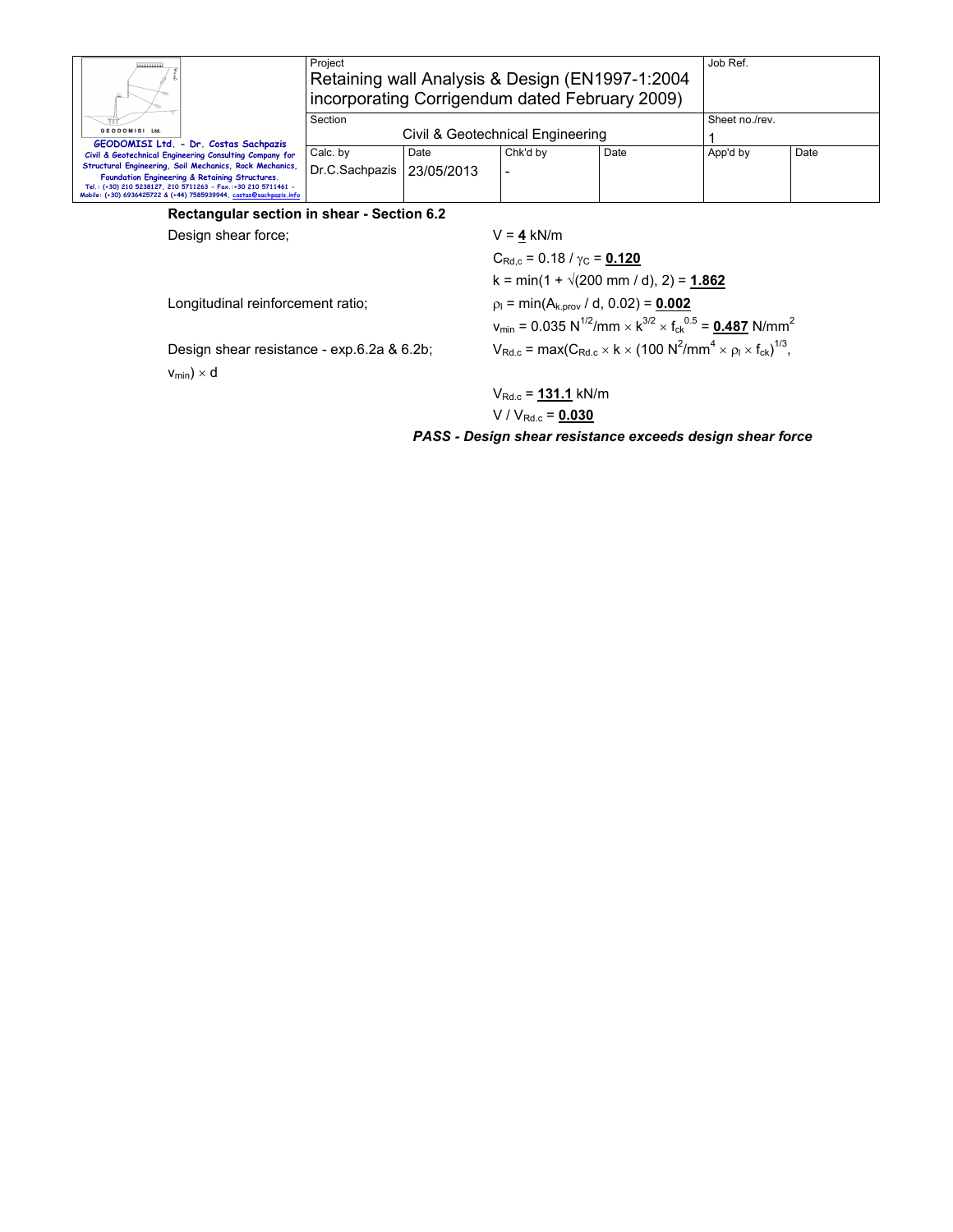|                                                                                                                                                                                                                                                  | Project<br>Retaining wall Analysis & Design (EN1997-1:2004)<br>incorporating Corrigendum dated February 2009) |  |                                                                                                                                                                               |  | Job Ref.       |      |  |
|--------------------------------------------------------------------------------------------------------------------------------------------------------------------------------------------------------------------------------------------------|---------------------------------------------------------------------------------------------------------------|--|-------------------------------------------------------------------------------------------------------------------------------------------------------------------------------|--|----------------|------|--|
| GEODOMISI Ltd                                                                                                                                                                                                                                    | Section<br>Civil & Geotechnical Engineering                                                                   |  |                                                                                                                                                                               |  | Sheet no./rev. |      |  |
| GEODOMISI Ltd. - Dr. Costas Sachpazis<br>Civil & Geotechnical Engineering Consulting Company for                                                                                                                                                 | Calc. by<br>Date                                                                                              |  | Chk'd by<br>Date                                                                                                                                                              |  | App'd by       | Date |  |
| Structural Engineering, Soil Mechanics, Rock Mechanics,<br>Foundation Engineering & Retaining Structures.<br>Tel.: (+30) 210 5238127, 210 5711263 - Fax.:+30 210 5711461 -<br>Mobile: (+30) 6936425722 & (+44) 7585939944, costas@sachpazis.info | Dr.C.Sachpazis   23/05/2013                                                                                   |  | $\overline{\phantom{a}}$                                                                                                                                                      |  |                |      |  |
| Rectangular section in shear - Section 6.2                                                                                                                                                                                                       |                                                                                                               |  |                                                                                                                                                                               |  |                |      |  |
| Design shear force:                                                                                                                                                                                                                              |                                                                                                               |  | $V = 4$ kN/m                                                                                                                                                                  |  |                |      |  |
|                                                                                                                                                                                                                                                  |                                                                                                               |  | $C_{\text{Rd.c}}$ = 0.18 / $\gamma_{\text{C}}$ = 0.120                                                                                                                        |  |                |      |  |
|                                                                                                                                                                                                                                                  |                                                                                                               |  | $k = min(1 + \sqrt{200} \text{ mm } / \text{ d}), 2) = 1.862$                                                                                                                 |  |                |      |  |
| Longitudinal reinforcement ratio;<br>Design shear resistance - exp.6.2a & 6.2b;<br>$v_{min}$ ) $\times$ d                                                                                                                                        |                                                                                                               |  | $p_1 = min(A_{k,prov}/ d, 0.02) = 0.002$<br>$v_{\text{min}} = 0.035 \text{ N}^{1/2}/\text{mm} \times \text{K}^{3/2} \times \text{f}_{\text{ck}}^{0.5} = 0.487 \text{ N/mm}^2$ |  |                |      |  |
|                                                                                                                                                                                                                                                  |                                                                                                               |  | $V_{\text{Rd.c}} = \max(C_{\text{Rd.c}} \times k \times (100 \text{ N}^2/\text{mm}^4 \times \rho_{\text{I}} \times f_{\text{ck}})^{1/3},$                                     |  |                |      |  |

VRd.c = **131.1** kN/m  $V / V_{Rd.c} = 0.030$ 

*PASS - Design shear resistance exceeds design shear force*